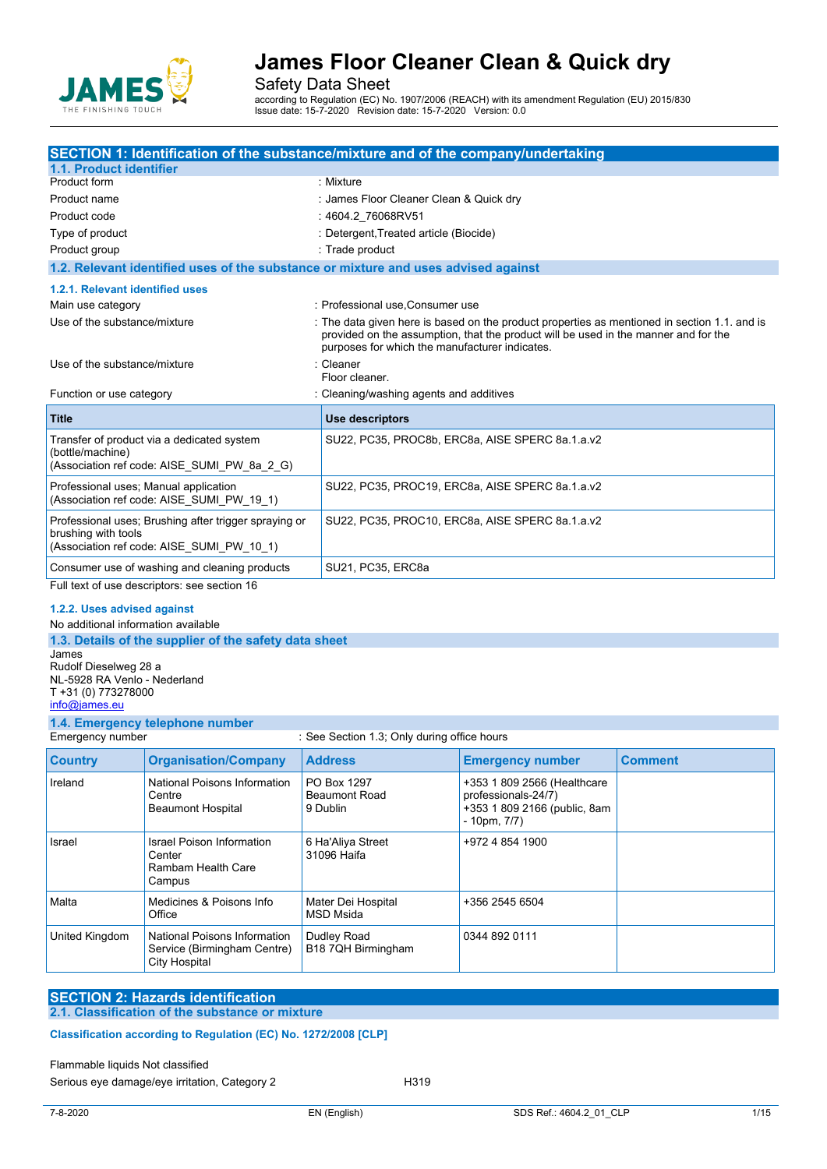

Safety Data Sheet

according to Regulation (EC) No. 1907/2006 (REACH) with its amendment Regulation (EU) 2015/830 Issue date: 15-7-2020 Revision date: 15-7-2020 Version: 0.0

| SECTION 1: Identification of the substance/mixture and of the company/undertaking                                         |                                                                                                                                                                                                                                       |  |
|---------------------------------------------------------------------------------------------------------------------------|---------------------------------------------------------------------------------------------------------------------------------------------------------------------------------------------------------------------------------------|--|
| 1.1. Product identifier                                                                                                   |                                                                                                                                                                                                                                       |  |
| Product form                                                                                                              | : Mixture                                                                                                                                                                                                                             |  |
| Product name                                                                                                              | : James Floor Cleaner Clean & Quick dry                                                                                                                                                                                               |  |
| Product code                                                                                                              | : 4604.2 76068RV51                                                                                                                                                                                                                    |  |
| Type of product                                                                                                           | : Detergent, Treated article (Biocide)                                                                                                                                                                                                |  |
| Product group                                                                                                             | : Trade product                                                                                                                                                                                                                       |  |
| 1.2. Relevant identified uses of the substance or mixture and uses advised against                                        |                                                                                                                                                                                                                                       |  |
| 1.2.1. Relevant identified uses                                                                                           |                                                                                                                                                                                                                                       |  |
| Main use category                                                                                                         | : Professional use Consumer use                                                                                                                                                                                                       |  |
| Use of the substance/mixture                                                                                              | : The data given here is based on the product properties as mentioned in section 1.1. and is<br>provided on the assumption, that the product will be used in the manner and for the<br>purposes for which the manufacturer indicates. |  |
| Use of the substance/mixture                                                                                              | : Cleaner<br>Floor cleaner.                                                                                                                                                                                                           |  |
| Function or use category                                                                                                  | : Cleaning/washing agents and additives                                                                                                                                                                                               |  |
| <b>Title</b>                                                                                                              | <b>Use descriptors</b>                                                                                                                                                                                                                |  |
| Transfer of product via a dedicated system<br>(bottle/machine)<br>(Association ref code: AISE SUMI PW 8a 2 G)             | SU22, PC35, PROC8b, ERC8a, AISE SPERC 8a.1.a.v2                                                                                                                                                                                       |  |
| Professional uses; Manual application<br>(Association ref code: AISE SUMI PW 19 1)                                        | SU22, PC35, PROC19, ERC8a, AISE SPERC 8a.1.a.v2                                                                                                                                                                                       |  |
| Professional uses; Brushing after trigger spraying or<br>brushing with tools<br>(Association ref code: AISE SUMI PW 10 1) | SU22, PC35, PROC10, ERC8a, AISE SPERC 8a.1.a.v2                                                                                                                                                                                       |  |
| Consumer use of washing and cleaning products                                                                             | SU21, PC35, ERC8a                                                                                                                                                                                                                     |  |
| Full text of use descriptors: see section 16                                                                              |                                                                                                                                                                                                                                       |  |

#### **1.2.2. Uses advised against**

No additional information available

**1.3. Details of the supplier of the safety data sheet** James Rudolf Dieselweg 28 a NL-5928 RA Venlo - Nederland T +31 (0) 773278000 [info@james.eu](mailto:info@james.eu)

### **1.4. Emergency telephone number**

: See Section 1.3; Only during office hours

| <b>Country</b> | <b>Organisation/Company</b>                                                  | <b>Address</b>                                  | <b>Emergency number</b>                                                                                 | <b>Comment</b> |
|----------------|------------------------------------------------------------------------------|-------------------------------------------------|---------------------------------------------------------------------------------------------------------|----------------|
| Ireland        | National Poisons Information<br>Centre<br><b>Beaumont Hospital</b>           | PO Box 1297<br><b>Beaumont Road</b><br>9 Dublin | +353 1 809 2566 (Healthcare<br>professionals-24/7)<br>+353 1 809 2166 (public, 8am<br>$-10$ pm, $7/7$ ) |                |
| Israel         | Israel Poison Information<br>Center<br>Rambam Health Care<br>Campus          | 6 Ha'Aliya Street<br>31096 Haifa                | +972 4 854 1900                                                                                         |                |
| Malta          | Medicines & Poisons Info<br>Office                                           | Mater Dei Hospital<br><b>MSD Msida</b>          | +356 2545 6504                                                                                          |                |
| United Kingdom | National Poisons Information<br>Service (Birmingham Centre)<br>City Hospital | Dudley Road<br>B18 7QH Birmingham               | 0344 892 0111                                                                                           |                |

### **SECTION 2: Hazards identification**

### **2.1. Classification of the substance or mixture**

### Classification according to Regulation (EC) No. 1272/2008 [CLP]

#### Flammable liquids Not classified

Serious eye damage/eye irritation, Category 2 <br>
H319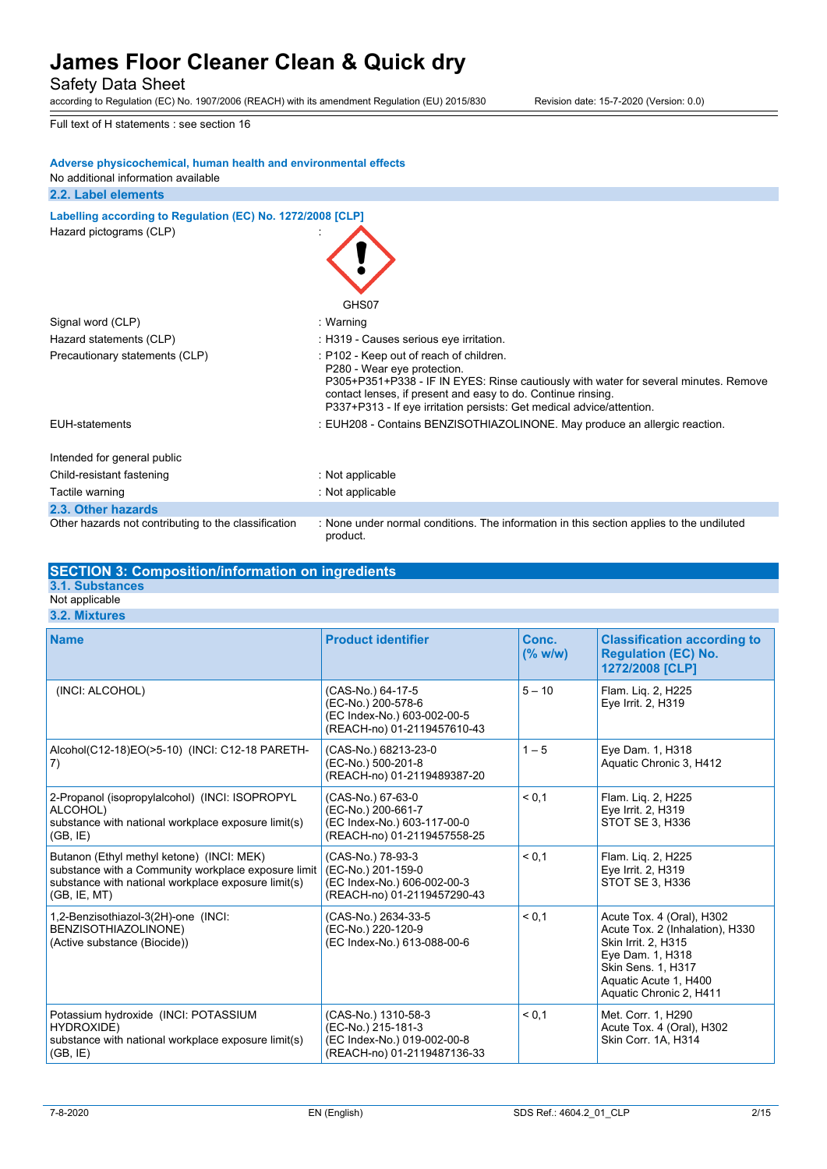Safety Data Sheet

according to Regulation (EC) No. 1907/2006 (REACH) with its amendment Regulation (EU) 2015/830 Revision date: 15-7-2020 (Version: 0.0)

Full text of H statements : see section 16

#### **Adverse physicochemical, human health and environmental effects**

No additional information available

#### **2.2. Label elements**

**Labelling according to Regulation** (EC) No. 1272/2008 [CLP] Hazard pictograms (CLP) :

|                                                      | GHS07                                                                                                                                                                                                                                                                                                   |
|------------------------------------------------------|---------------------------------------------------------------------------------------------------------------------------------------------------------------------------------------------------------------------------------------------------------------------------------------------------------|
| Signal word (CLP)                                    | : Warning                                                                                                                                                                                                                                                                                               |
| Hazard statements (CLP)                              | : H319 - Causes serious eye irritation.                                                                                                                                                                                                                                                                 |
| Precautionary statements (CLP)                       | : P102 - Keep out of reach of children.<br>P280 - Wear eye protection.<br>P305+P351+P338 - IF IN EYES: Rinse cautiously with water for several minutes. Remove<br>contact lenses, if present and easy to do. Continue rinsing.<br>P337+P313 - If eye irritation persists: Get medical advice/attention. |
| EUH-statements                                       | : EUH208 - Contains BENZISOTHIAZOLINONE. May produce an allergic reaction.                                                                                                                                                                                                                              |
| Intended for general public                          |                                                                                                                                                                                                                                                                                                         |
| Child-resistant fastening                            | : Not applicable                                                                                                                                                                                                                                                                                        |
| Tactile warning                                      | : Not applicable                                                                                                                                                                                                                                                                                        |
| 2.3. Other hazards                                   |                                                                                                                                                                                                                                                                                                         |
| Other hazards not contributing to the classification | : None under normal conditions. The information in this section applies to the undiluted<br>product.                                                                                                                                                                                                    |

#### **SECTION 3: Composition/information on ingredients**

**3.1. Substances**

#### Not applicable **3.2. Mixtures**

**Name Product identifier Conc. (% w/w) Classification according to Regulation (EC) No. 1272/2008 [CLP]** (INCI: ALCOHOL) (CAS-No.) 64-17-5 (EC-No.) 200-578-6 (EC Index-No.) 603-002-00-5 (REACH-no) 01-2119457610-43 5 – 10 Flam. Liq. 2, H225 Eye Irrit. 2, H319 Alcohol(C12-18)EO(>5-10) (INCI: C12-18 PARETH-7) (CAS-No.) 68213-23-0 (EC-No.) 500-201-8 (REACH-no) 01-2119489387-20  $1 - 5$  Eye Dam. 1, H318 Aquatic Chronic 3, H412 2-Propanol (isopropylalcohol) (INCI: ISOPROPYL ALCOHOL) substance with national workplace exposure limit(s)  $(GB, IE)$ (CAS-No.) 67-63-0 (EC-No.) 200-661-7 (EC Index-No.) 603-117-00-0 (REACH-no) 01-2119457558-25 < 0,1 Flam. Liq. 2, H225 Eye Irrit. 2, H319 STOT SE 3, H336 Butanon (Ethyl methyl ketone) (INCI: MEK) substance with a Community workplace exposure limit substance with national workplace exposure limit(s) (GB, IE, MT) (CAS-No.) 78-93-3  $(EC-No.) 201-159-0$ (EC Index-No.) 606-002-00-3 (REACH-no) 01-2119457290-43 < 0,1 Flam. Liq. 2, H225 Eye Irrit. 2, H319 STOT SE 3, H336 1,2-Benzisothiazol-3(2H)-one (INCI: BENZISOTHIAZOLINONE) (Active substance (Biocide)) (CAS-No.) 2634-33-5 (EC-No.) 220-120-9 (EC Index-No.) 613-088-00-6  $\leq$  0.1  $\qquad$  Acute Tox. 4 (Oral), H302 Acute Tox. 2 (Inhalation), H330 Skin Irrit. 2, H315 Eye Dam. 1, H318 Skin Sens. 1, H317 Aquatic Acute 1, H400 Aquatic Chronic 2, H411 Potassium hydroxide (INCI: POTASSIUM HYDROXIDE) substance with national workplace exposure limit(s) (CAS-No.) 1310-58-3 (EC-No.) 215-181-3 (EC Index-No.) 019-002-00-8 < 0,1 Met. Corr. 1, H290 Acute Tox. 4 (Oral), H302 Skin Corr. 1A, H314

(REACH-no) 01-2119487136-33

 $(GB, IE)$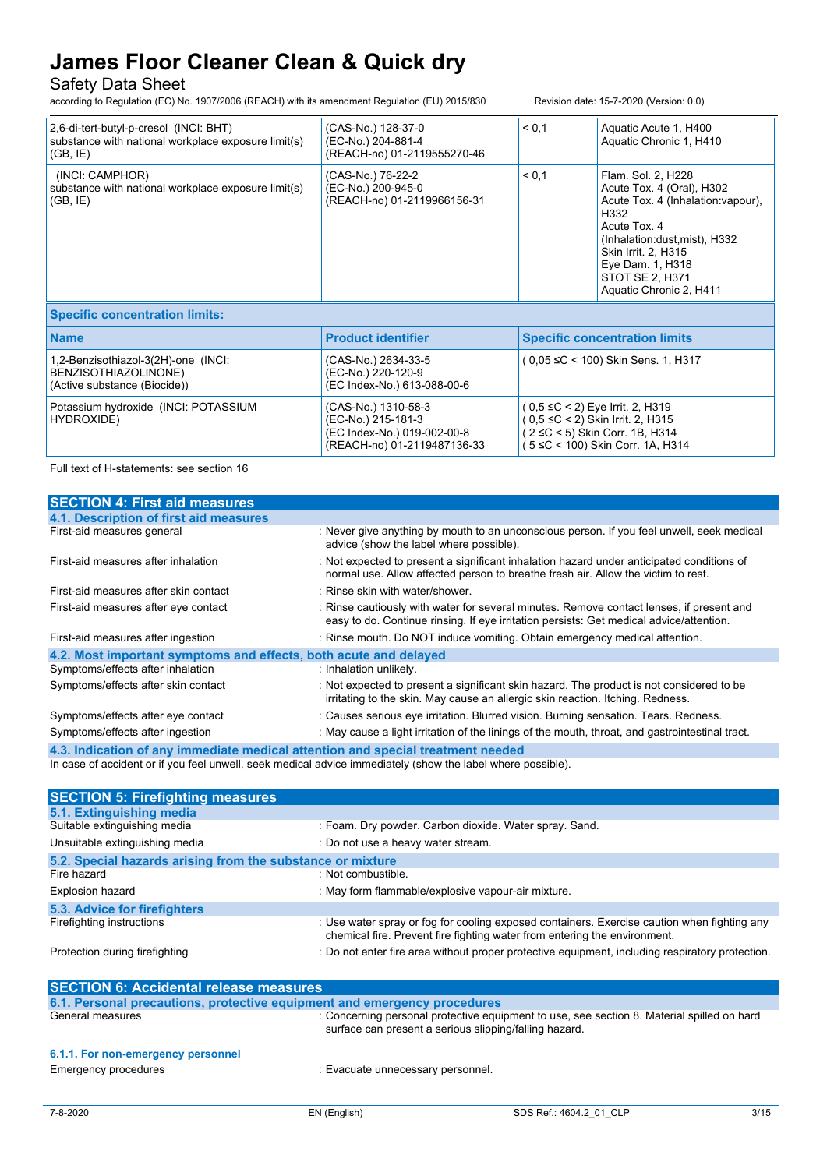### Safety Data Sheet

according to Regulation (EC) No. 1907/2006 (REACH) with its amendment Regulation (EU) 2015/830 Revision date: 15-7-2020 (Version: 0.0)

 $( 2 \leq C < 5)$  Skin Corr. 1B, H314 ( 5 ≤C < 100) Skin Corr. 1A, H314

| 2,6-di-tert-butyl-p-cresol (INCI: BHT)<br>substance with national workplace exposure limit(s)<br>(GB, IE) | (CAS-No.) 128-37-0<br>(EC-No.) 204-881-4<br>(REACH-no) 01-2119555270-46  | < 0.1                                                                     | Aquatic Acute 1, H400<br>Aquatic Chronic 1, H410                                                                                                                                                                                       |
|-----------------------------------------------------------------------------------------------------------|--------------------------------------------------------------------------|---------------------------------------------------------------------------|----------------------------------------------------------------------------------------------------------------------------------------------------------------------------------------------------------------------------------------|
| (INCI: CAMPHOR)<br>substance with national workplace exposure limit(s)<br>(GB, IE)                        | (CAS-No.) 76-22-2<br>(EC-No.) 200-945-0<br>(REACH-no) 01-2119966156-31   | < 0.1                                                                     | Flam. Sol. 2, H228<br>Acute Tox. 4 (Oral), H302<br>Acute Tox. 4 (Inhalation vapour),<br>H332<br>Acute Tox, 4<br>(Inhalation:dust, mist), H332<br>Skin Irrit. 2, H315<br>Eye Dam. 1, H318<br>STOT SE 2, H371<br>Aquatic Chronic 2, H411 |
| <b>Specific concentration limits:</b>                                                                     |                                                                          |                                                                           |                                                                                                                                                                                                                                        |
| <b>Name</b>                                                                                               | <b>Product identifier</b>                                                | <b>Specific concentration limits</b>                                      |                                                                                                                                                                                                                                        |
| 1,2-Benzisothiazol-3(2H)-one (INCI:<br>BENZISOTHIAZOLINONE)<br>(Active substance (Biocide))               | (CAS-No.) 2634-33-5<br>(EC-No.) 220-120-9<br>(EC Index-No.) 613-088-00-6 | (0,05 ≤C < 100) Skin Sens. 1, H317                                        |                                                                                                                                                                                                                                        |
| Potassium hydroxide (INCI: POTASSIUM<br>HYDROXIDE)                                                        | (CAS-No.) 1310-58-3<br>(EC-No.) 215-181-3                                | $(0.5 \leq C < 2)$ Eye Irrit. 2, H319<br>(0,5 ≤C < 2) Skin Irrit. 2, H315 |                                                                                                                                                                                                                                        |

(EC Index-No.) 019-002-00-8 (REACH-no) 01-2119487136-33

Full text of H-statements: see section 16

| <b>SECTION 4: First aid measures</b>                                          |                                                                                                                                                                                     |  |
|-------------------------------------------------------------------------------|-------------------------------------------------------------------------------------------------------------------------------------------------------------------------------------|--|
| 4.1. Description of first aid measures                                        |                                                                                                                                                                                     |  |
| First-aid measures general                                                    | : Never give anything by mouth to an unconscious person. If you feel unwell, seek medical<br>advice (show the label where possible).                                                |  |
| First-aid measures after inhalation                                           | : Not expected to present a significant inhalation hazard under anticipated conditions of<br>normal use. Allow affected person to breathe fresh air. Allow the victim to rest.      |  |
| First-aid measures after skin contact                                         | : Rinse skin with water/shower.                                                                                                                                                     |  |
| First-aid measures after eye contact                                          | : Rinse cautiously with water for several minutes. Remove contact lenses, if present and<br>easy to do. Continue rinsing. If eye irritation persists: Get medical advice/attention. |  |
| First-aid measures after ingestion                                            | : Rinse mouth. Do NOT induce vomiting. Obtain emergency medical attention.                                                                                                          |  |
| 4.2. Most important symptoms and effects, both acute and delayed              |                                                                                                                                                                                     |  |
| Symptoms/effects after inhalation                                             | : Inhalation unlikely.                                                                                                                                                              |  |
| Symptoms/effects after skin contact                                           | : Not expected to present a significant skin hazard. The product is not considered to be<br>irritating to the skin. May cause an allergic skin reaction. Itching. Redness.          |  |
| Symptoms/effects after eye contact                                            | : Causes serious eye irritation. Blurred vision. Burning sensation. Tears. Redness.                                                                                                 |  |
| Symptoms/effects after ingestion                                              | : May cause a light irritation of the linings of the mouth, throat, and gastrointestinal tract.                                                                                     |  |
| A 2 Indication of any immediate medical ottention and encoid treatment needed |                                                                                                                                                                                     |  |

**4.3. Indication of any immediate medical attention and special treatment needed** In case of accident or if you feel unwell, seek medical advice immediately (show the label where possible).

| <b>SECTION 5: Firefighting measures</b>                    |                                                                                                                                                                          |  |  |
|------------------------------------------------------------|--------------------------------------------------------------------------------------------------------------------------------------------------------------------------|--|--|
| 5.1. Extinguishing media                                   |                                                                                                                                                                          |  |  |
| Suitable extinguishing media                               | : Foam. Dry powder. Carbon dioxide. Water spray. Sand.                                                                                                                   |  |  |
| Unsuitable extinguishing media                             | : Do not use a heavy water stream.                                                                                                                                       |  |  |
| 5.2. Special hazards arising from the substance or mixture |                                                                                                                                                                          |  |  |
| Fire hazard                                                | : Not combustible.                                                                                                                                                       |  |  |
| <b>Explosion hazard</b>                                    | : May form flammable/explosive vapour-air mixture.                                                                                                                       |  |  |
| 5.3. Advice for firefighters                               |                                                                                                                                                                          |  |  |
| Firefighting instructions                                  | : Use water spray or fog for cooling exposed containers. Exercise caution when fighting any<br>chemical fire. Prevent fire fighting water from entering the environment. |  |  |
| Protection during firefighting                             | : Do not enter fire area without proper protective equipment, including respiratory protection.                                                                          |  |  |
|                                                            |                                                                                                                                                                          |  |  |

| <b>SECTION 6: Accidental release measures</b>                            |                                                                                                                                                      |  |
|--------------------------------------------------------------------------|------------------------------------------------------------------------------------------------------------------------------------------------------|--|
| 6.1. Personal precautions, protective equipment and emergency procedures |                                                                                                                                                      |  |
| General measures                                                         | : Concerning personal protective equipment to use, see section 8. Material spilled on hard<br>surface can present a serious slipping/falling hazard. |  |
| 6.1.1. For non-emergency personnel                                       |                                                                                                                                                      |  |
| Emergency procedures                                                     | : Evacuate unnecessary personnel.                                                                                                                    |  |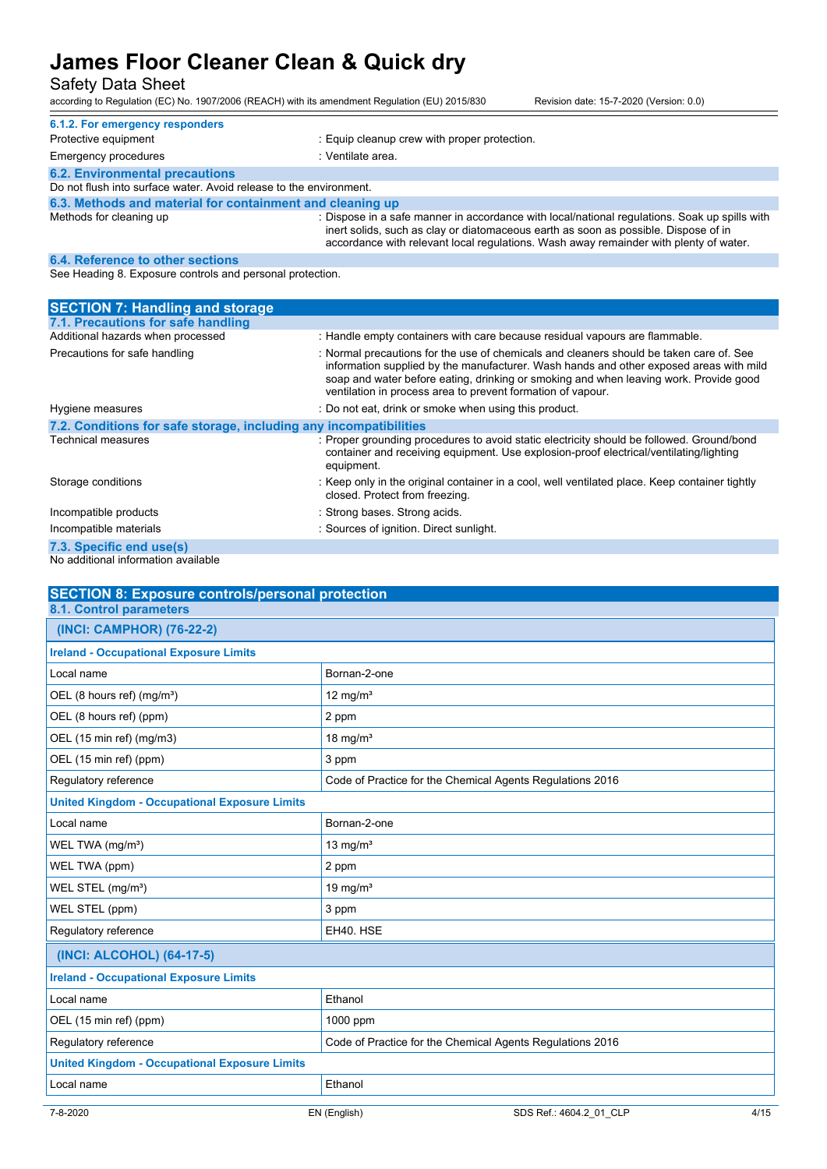### Safety Data Sheet

according to Regulation (EC) No. 1907/2006 (REACH) with its amendment Regulation (EU) 2015/830 Revision date: 15-7-2020 (Version: 0.0)

| 6.1.2. For emergency responders                                    |                                                                                                                                                                                                                                                                               |
|--------------------------------------------------------------------|-------------------------------------------------------------------------------------------------------------------------------------------------------------------------------------------------------------------------------------------------------------------------------|
| Protective equipment                                               | . Equip cleanup crew with proper protection.                                                                                                                                                                                                                                  |
| <b>Emergency procedures</b>                                        | : Ventilate area.                                                                                                                                                                                                                                                             |
| <b>6.2. Environmental precautions</b>                              |                                                                                                                                                                                                                                                                               |
| Do not flush into surface water. Avoid release to the environment. |                                                                                                                                                                                                                                                                               |
| 6.3. Methods and material for containment and cleaning up          |                                                                                                                                                                                                                                                                               |
| Methods for cleaning up                                            | : Dispose in a safe manner in accordance with local/national regulations. Soak up spills with<br>inert solids, such as clay or diatomaceous earth as soon as possible. Dispose of in<br>accordance with relevant local regulations. Wash away remainder with plenty of water. |

#### **6.4. Reference to other sections**

See Heading 8. Exposure controls and personal protection.

| <b>SECTION 7: Handling and storage</b>                            |                                                                                                                                                                                                                                                                                                                                           |  |
|-------------------------------------------------------------------|-------------------------------------------------------------------------------------------------------------------------------------------------------------------------------------------------------------------------------------------------------------------------------------------------------------------------------------------|--|
| 7.1. Precautions for safe handling                                |                                                                                                                                                                                                                                                                                                                                           |  |
| Additional hazards when processed                                 | : Handle empty containers with care because residual vapours are flammable.                                                                                                                                                                                                                                                               |  |
| Precautions for safe handling                                     | : Normal precautions for the use of chemicals and cleaners should be taken care of. See<br>information supplied by the manufacturer. Wash hands and other exposed areas with mild<br>soap and water before eating, drinking or smoking and when leaving work. Provide good<br>ventilation in process area to prevent formation of vapour. |  |
| Hygiene measures                                                  | : Do not eat, drink or smoke when using this product.                                                                                                                                                                                                                                                                                     |  |
| 7.2. Conditions for safe storage, including any incompatibilities |                                                                                                                                                                                                                                                                                                                                           |  |
| Technical measures                                                | : Proper grounding procedures to avoid static electricity should be followed. Ground/bond<br>container and receiving equipment. Use explosion-proof electrical/ventilating/lighting<br>equipment.                                                                                                                                         |  |
| Storage conditions                                                | : Keep only in the original container in a cool, well ventilated place. Keep container tightly<br>closed. Protect from freezing.                                                                                                                                                                                                          |  |
| Incompatible products                                             | : Strong bases. Strong acids.                                                                                                                                                                                                                                                                                                             |  |
| Incompatible materials                                            | : Sources of ignition. Direct sunlight.                                                                                                                                                                                                                                                                                                   |  |
| 7.3. Specific end use(s)                                          |                                                                                                                                                                                                                                                                                                                                           |  |

No additional information available

| <b>SECTION 8: Exposure controls/personal protection</b> |                                                           |  |
|---------------------------------------------------------|-----------------------------------------------------------|--|
| <b>8.1. Control parameters</b>                          |                                                           |  |
| (INCI: CAMPHOR) (76-22-2)                               |                                                           |  |
| <b>Ireland - Occupational Exposure Limits</b>           |                                                           |  |
| Local name                                              | Bornan-2-one                                              |  |
| OEL (8 hours ref) (mg/m <sup>3</sup> )                  | 12 mg/ $m3$                                               |  |
| OEL (8 hours ref) (ppm)                                 | 2 ppm                                                     |  |
| OEL (15 min ref) (mg/m3)                                | 18 mg/ $m3$                                               |  |
| OEL (15 min ref) (ppm)                                  | 3 ppm                                                     |  |
| Regulatory reference                                    | Code of Practice for the Chemical Agents Regulations 2016 |  |
| <b>United Kingdom - Occupational Exposure Limits</b>    |                                                           |  |
| Local name                                              | Bornan-2-one                                              |  |
| WEL TWA (mg/m <sup>3</sup> )                            | 13 mg/ $m3$                                               |  |
| WEL TWA (ppm)                                           | 2 ppm                                                     |  |
| WEL STEL (mg/m <sup>3</sup> )                           | 19 mg/ $m3$                                               |  |
| WEL STEL (ppm)                                          | 3 ppm                                                     |  |
| Regulatory reference                                    | EH40. HSE                                                 |  |
| (INCI: ALCOHOL) (64-17-5)                               |                                                           |  |
| <b>Ireland - Occupational Exposure Limits</b>           |                                                           |  |
| Local name                                              | Ethanol                                                   |  |
| OEL (15 min ref) (ppm)                                  | 1000 ppm                                                  |  |
| Regulatory reference                                    | Code of Practice for the Chemical Agents Regulations 2016 |  |
| <b>United Kingdom - Occupational Exposure Limits</b>    |                                                           |  |
| Local name                                              | Ethanol                                                   |  |
| 7-8-2020                                                | EN (English)<br>SDS Ref.: 4604.2 01 CLP<br>4/15           |  |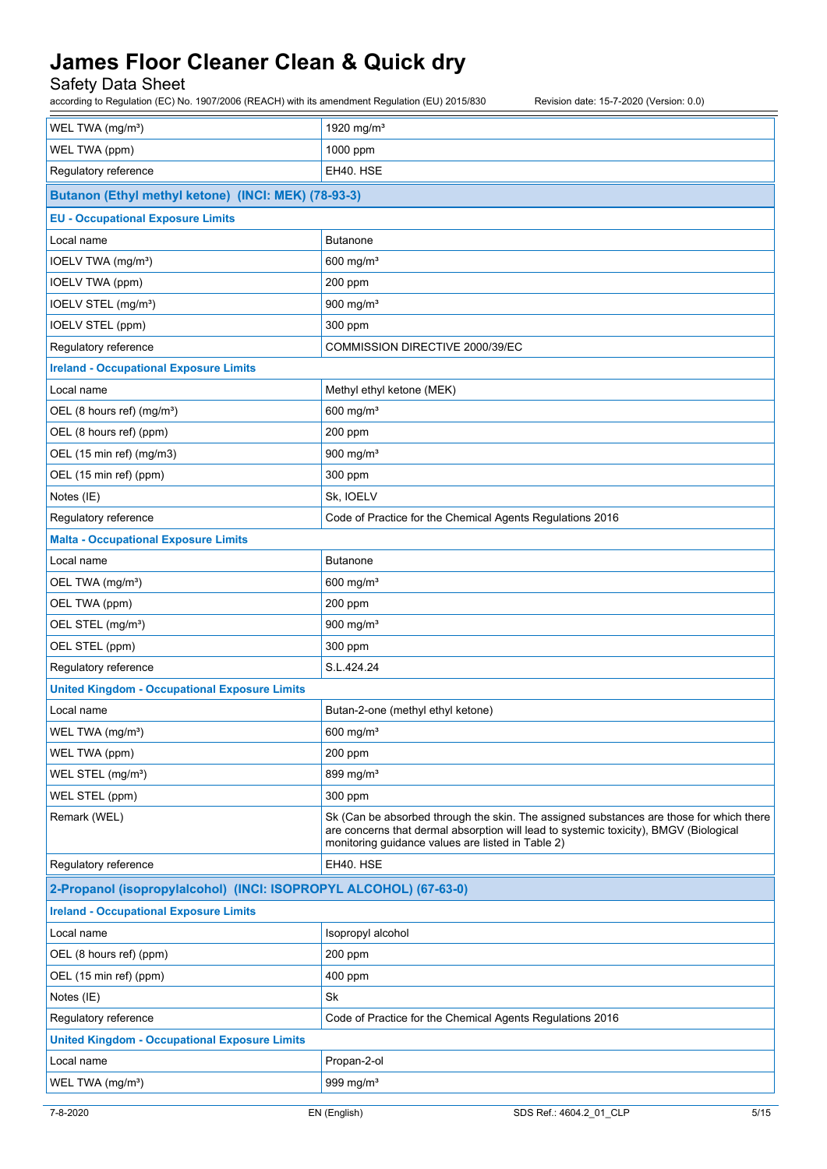### Safety Data Sheet

according to Regulation (EC) No. 1907/2006 (REACH) with its amendment Regulation (EU) 2015/830 Revision date: 15-7-2020 (Version: 0.0)

| WEL TWA (mg/m <sup>3</sup> )                                      | 1920 mg/m <sup>3</sup>                                                                                                                                                                                                                |  |
|-------------------------------------------------------------------|---------------------------------------------------------------------------------------------------------------------------------------------------------------------------------------------------------------------------------------|--|
| WEL TWA (ppm)                                                     | 1000 ppm                                                                                                                                                                                                                              |  |
| Regulatory reference                                              | EH40. HSE                                                                                                                                                                                                                             |  |
| Butanon (Ethyl methyl ketone) (INCI: MEK) (78-93-3)               |                                                                                                                                                                                                                                       |  |
| <b>EU - Occupational Exposure Limits</b>                          |                                                                                                                                                                                                                                       |  |
| Local name                                                        | <b>Butanone</b>                                                                                                                                                                                                                       |  |
| IOELV TWA (mg/m <sup>3</sup> )                                    | $600$ mg/m <sup>3</sup>                                                                                                                                                                                                               |  |
| <b>IOELV TWA (ppm)</b>                                            | 200 ppm                                                                                                                                                                                                                               |  |
| IOELV STEL (mg/m <sup>3</sup> )                                   | 900 mg/m $3$                                                                                                                                                                                                                          |  |
| IOELV STEL (ppm)                                                  | 300 ppm                                                                                                                                                                                                                               |  |
| Regulatory reference                                              | COMMISSION DIRECTIVE 2000/39/EC                                                                                                                                                                                                       |  |
| <b>Ireland - Occupational Exposure Limits</b>                     |                                                                                                                                                                                                                                       |  |
| Local name                                                        | Methyl ethyl ketone (MEK)                                                                                                                                                                                                             |  |
| OEL (8 hours ref) (mg/m <sup>3</sup> )                            | 600 mg/ $m3$                                                                                                                                                                                                                          |  |
| OEL (8 hours ref) (ppm)                                           | 200 ppm                                                                                                                                                                                                                               |  |
| OEL (15 min ref) (mg/m3)                                          | $900$ mg/m <sup>3</sup>                                                                                                                                                                                                               |  |
| OEL (15 min ref) (ppm)                                            | 300 ppm                                                                                                                                                                                                                               |  |
| Notes (IE)                                                        | Sk, IOELV                                                                                                                                                                                                                             |  |
| Regulatory reference                                              | Code of Practice for the Chemical Agents Regulations 2016                                                                                                                                                                             |  |
| <b>Malta - Occupational Exposure Limits</b>                       |                                                                                                                                                                                                                                       |  |
| Local name                                                        | <b>Butanone</b>                                                                                                                                                                                                                       |  |
| OEL TWA (mg/m <sup>3</sup> )                                      | $600$ mg/m <sup>3</sup>                                                                                                                                                                                                               |  |
| OEL TWA (ppm)                                                     | 200 ppm                                                                                                                                                                                                                               |  |
| OEL STEL (mg/m <sup>3</sup> )                                     | 900 mg/m <sup>3</sup>                                                                                                                                                                                                                 |  |
| OEL STEL (ppm)                                                    | 300 ppm                                                                                                                                                                                                                               |  |
| Regulatory reference                                              | S.L.424.24                                                                                                                                                                                                                            |  |
| <b>United Kingdom - Occupational Exposure Limits</b>              |                                                                                                                                                                                                                                       |  |
| Local name                                                        | Butan-2-one (methyl ethyl ketone)                                                                                                                                                                                                     |  |
| WEL TWA (mg/m <sup>3</sup> )                                      | $600$ mg/m <sup>3</sup>                                                                                                                                                                                                               |  |
| WEL TWA (ppm)                                                     | 200 ppm                                                                                                                                                                                                                               |  |
| WEL STEL (mg/m <sup>3</sup> )                                     | 899 mg/m <sup>3</sup>                                                                                                                                                                                                                 |  |
| WEL STEL (ppm)                                                    | 300 ppm                                                                                                                                                                                                                               |  |
| Remark (WEL)                                                      | Sk (Can be absorbed through the skin. The assigned substances are those for which there<br>are concerns that dermal absorption will lead to systemic toxicity), BMGV (Biological<br>monitoring guidance values are listed in Table 2) |  |
| Regulatory reference                                              | EH40. HSE                                                                                                                                                                                                                             |  |
| 2-Propanol (isopropylalcohol) (INCI: ISOPROPYL ALCOHOL) (67-63-0) |                                                                                                                                                                                                                                       |  |
| <b>Ireland - Occupational Exposure Limits</b>                     |                                                                                                                                                                                                                                       |  |
| Local name                                                        | Isopropyl alcohol                                                                                                                                                                                                                     |  |
| OEL (8 hours ref) (ppm)                                           | 200 ppm                                                                                                                                                                                                                               |  |
| OEL (15 min ref) (ppm)                                            | 400 ppm                                                                                                                                                                                                                               |  |
| Notes (IE)                                                        | Sk                                                                                                                                                                                                                                    |  |
| Regulatory reference                                              | Code of Practice for the Chemical Agents Regulations 2016                                                                                                                                                                             |  |
| <b>United Kingdom - Occupational Exposure Limits</b>              |                                                                                                                                                                                                                                       |  |
| Local name                                                        | Propan-2-ol                                                                                                                                                                                                                           |  |
| WEL TWA (mg/m <sup>3</sup> )                                      | 999 mg/m <sup>3</sup>                                                                                                                                                                                                                 |  |
|                                                                   |                                                                                                                                                                                                                                       |  |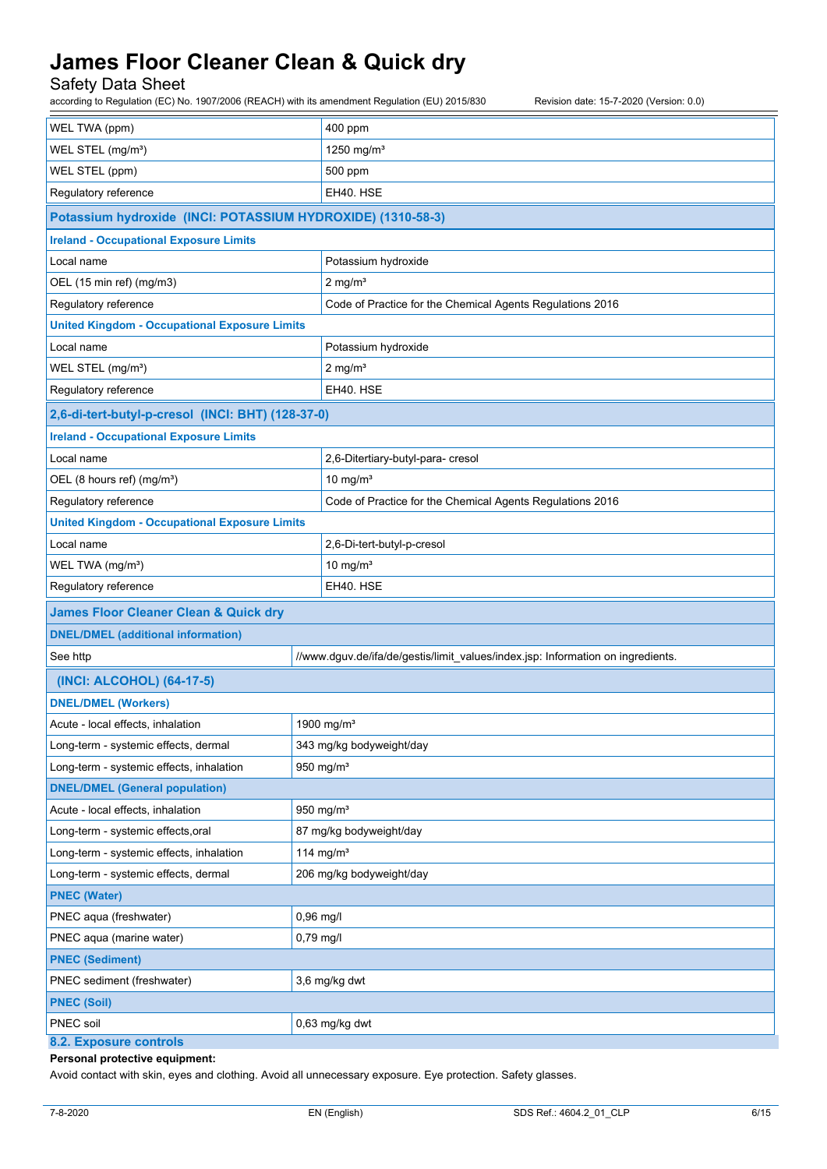Safety Data Sheet

according to Regulation (EC) No. 1907/2006 (REACH) with its amendment Regulation (EU) 2015/830 Revision date: 15-7-2020 (Version: 0.0)

| WEL TWA (ppm)                                               | 400 ppm                                                                         |  |
|-------------------------------------------------------------|---------------------------------------------------------------------------------|--|
| WEL STEL (mg/m <sup>3</sup> )                               | 1250 mg/m $3$                                                                   |  |
| WEL STEL (ppm)                                              | 500 ppm                                                                         |  |
| Regulatory reference                                        | EH40. HSE                                                                       |  |
| Potassium hydroxide (INCI: POTASSIUM HYDROXIDE) (1310-58-3) |                                                                                 |  |
| <b>Ireland - Occupational Exposure Limits</b>               |                                                                                 |  |
| Local name                                                  | Potassium hydroxide                                                             |  |
| OEL (15 min ref) (mg/m3)                                    | $2$ mg/m <sup>3</sup>                                                           |  |
| Regulatory reference                                        | Code of Practice for the Chemical Agents Regulations 2016                       |  |
| <b>United Kingdom - Occupational Exposure Limits</b>        |                                                                                 |  |
| Local name                                                  | Potassium hydroxide                                                             |  |
| WEL STEL (mg/m <sup>3</sup> )                               | $2$ mg/m <sup>3</sup>                                                           |  |
| Regulatory reference                                        | EH40. HSE                                                                       |  |
| 2,6-di-tert-butyl-p-cresol (INCI: BHT) (128-37-0)           |                                                                                 |  |
| <b>Ireland - Occupational Exposure Limits</b>               |                                                                                 |  |
| Local name                                                  | 2,6-Ditertiary-butyl-para- cresol                                               |  |
| OEL (8 hours ref) (mg/m <sup>3</sup> )                      | 10 mg/ $m3$                                                                     |  |
| Regulatory reference                                        | Code of Practice for the Chemical Agents Regulations 2016                       |  |
| <b>United Kingdom - Occupational Exposure Limits</b>        |                                                                                 |  |
| Local name                                                  | 2,6-Di-tert-butyl-p-cresol                                                      |  |
| WEL TWA (mg/m <sup>3</sup> )                                | 10 mg/ $m3$                                                                     |  |
| Regulatory reference                                        | EH40. HSE                                                                       |  |
| <b>James Floor Cleaner Clean &amp; Quick dry</b>            |                                                                                 |  |
| <b>DNEL/DMEL (additional information)</b>                   |                                                                                 |  |
| See http                                                    | //www.dguv.de/ifa/de/gestis/limit_values/index.jsp: Information on ingredients. |  |
| (INCI: ALCOHOL) (64-17-5)                                   |                                                                                 |  |
| <b>DNEL/DMEL (Workers)</b>                                  |                                                                                 |  |
| Acute - local effects, inhalation                           | 1900 mg/m <sup>3</sup>                                                          |  |
| Long-term - systemic effects, dermal                        | 343 mg/kg bodyweight/day                                                        |  |
| Long-term - systemic effects, inhalation                    | 950 mg/ $m3$                                                                    |  |
| <b>DNEL/DMEL (General population)</b>                       |                                                                                 |  |
| Acute - local effects, inhalation                           | 950 mg/m <sup>3</sup>                                                           |  |
| Long-term - systemic effects, oral                          | 87 mg/kg bodyweight/day                                                         |  |
| Long-term - systemic effects, inhalation                    | 114 mg/m <sup>3</sup>                                                           |  |
| Long-term - systemic effects, dermal                        | 206 mg/kg bodyweight/day                                                        |  |
| <b>PNEC (Water)</b>                                         |                                                                                 |  |
| PNEC aqua (freshwater)                                      | 0,96 mg/l                                                                       |  |
| PNEC aqua (marine water)                                    | $0,79$ mg/l                                                                     |  |
| <b>PNEC (Sediment)</b>                                      |                                                                                 |  |
| PNEC sediment (freshwater)                                  | 3,6 mg/kg dwt                                                                   |  |
| <b>PNEC (Soil)</b>                                          |                                                                                 |  |
| PNEC soil<br>0,63 mg/kg dwt                                 |                                                                                 |  |
| 8.2. Exposure controls                                      |                                                                                 |  |

#### **Personal protective equipment:**

Avoid contact with skin, eyes and clothing. Avoid all unnecessary exposure. Eye protection. Safety glasses.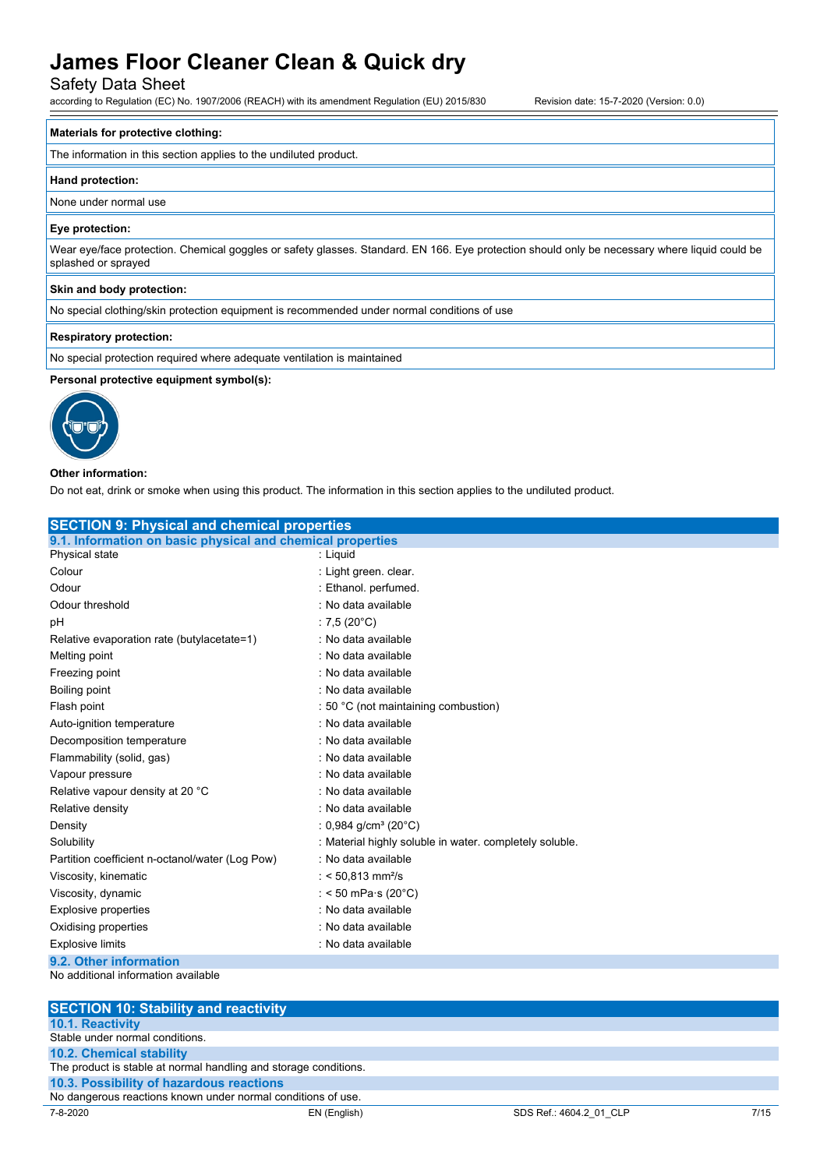Safety Data Sheet

according to Regulation (EC) No. 1907/2006 (REACH) with its amendment Regulation (EU) 2015/830 Revision date: 15-7-2020 (Version: 0.0)

#### **Materials for protective clothing:**

The information in this section applies to the undiluted product.

#### **Hand protection:**

None under normal use

#### **Eye protection:**

Wear eye/face protection. Chemical goggles or safety glasses. Standard. EN 166. Eye protection should only be necessary where liquid could be splashed or sprayed

#### **Skin and body protection:**

No special clothing/skin protection equipment is recommended under normal conditions of use

#### **Respiratory protection:**

No special protection required where adequate ventilation is maintained

#### **Personal protective equipment symbol(s):**



#### **Other information:**

Do not eat, drink or smoke when using this product. The information in this section applies to the undiluted product.

| <b>SECTION 9: Physical and chemical properties</b>         |                                                         |  |
|------------------------------------------------------------|---------------------------------------------------------|--|
| 9.1. Information on basic physical and chemical properties |                                                         |  |
| Physical state                                             | : Liquid                                                |  |
| Colour                                                     | : Light green. clear.                                   |  |
| Odour                                                      | : Ethanol. perfumed.                                    |  |
| Odour threshold                                            | : No data available                                     |  |
| pН                                                         | : 7,5 (20 $^{\circ}$ C)                                 |  |
| Relative evaporation rate (butylacetate=1)                 | : No data available                                     |  |
| Melting point                                              | : No data available                                     |  |
| Freezing point                                             | : No data available                                     |  |
| Boiling point                                              | : No data available                                     |  |
| Flash point                                                | : 50 °C (not maintaining combustion)                    |  |
| Auto-ignition temperature                                  | : No data available                                     |  |
| Decomposition temperature                                  | : No data available                                     |  |
| Flammability (solid, gas)                                  | : No data available                                     |  |
| Vapour pressure                                            | : No data available                                     |  |
| Relative vapour density at 20 °C                           | : No data available                                     |  |
| Relative density                                           | : No data available                                     |  |
| Density                                                    | : 0,984 g/cm <sup>3</sup> (20 $^{\circ}$ C)             |  |
| Solubility                                                 | : Material highly soluble in water, completely soluble. |  |
| Partition coefficient n-octanol/water (Log Pow)            | : No data available                                     |  |
| Viscosity, kinematic                                       | : < 50,813 mm <sup>2</sup> /s                           |  |
| Viscosity, dynamic                                         | : < 50 mPa $\cdot$ s (20 $\degree$ C)                   |  |
| <b>Explosive properties</b>                                | : No data available                                     |  |
| Oxidising properties                                       | : No data available                                     |  |
| <b>Explosive limits</b>                                    | : No data available                                     |  |
| 9.2. Other information                                     |                                                         |  |
| No additional information available                        |                                                         |  |

| <b>SECTION 10: Stability and reactivity</b>                      |              |                         |      |
|------------------------------------------------------------------|--------------|-------------------------|------|
| <b>10.1. Reactivity</b>                                          |              |                         |      |
| Stable under normal conditions.                                  |              |                         |      |
| <b>10.2. Chemical stability</b>                                  |              |                         |      |
| The product is stable at normal handling and storage conditions. |              |                         |      |
| 10.3. Possibility of hazardous reactions                         |              |                         |      |
| No dangerous reactions known under normal conditions of use.     |              |                         |      |
| 7-8-2020                                                         | EN (English) | SDS Ref.: 4604.2 01 CLP | 7/15 |
|                                                                  |              |                         |      |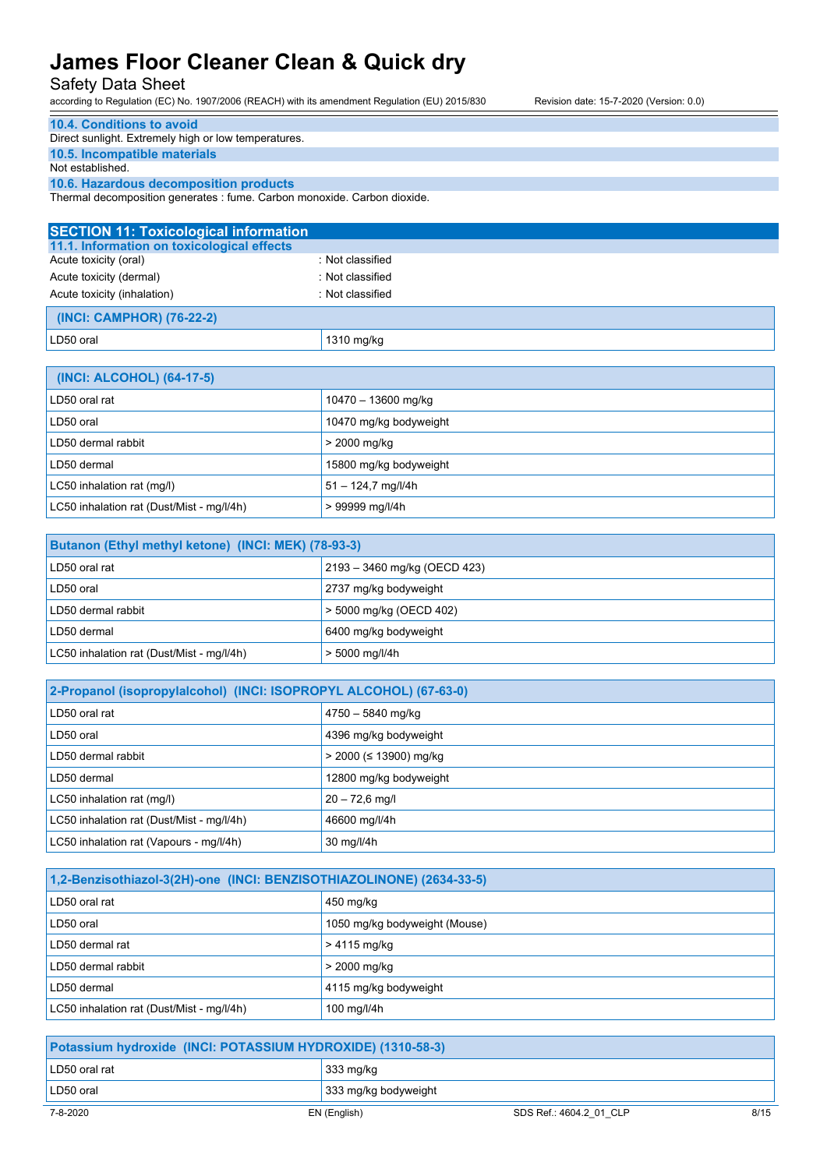Safety Data Sheet

according to Regulation (EC) No. 1907/2006 (REACH) with its amendment Regulation (EU) 2015/830 Revision date: 15-7-2020 (Version: 0.0)

| 10.4. Conditions to avoid                                                |
|--------------------------------------------------------------------------|
| Direct sunlight. Extremely high or low temperatures.                     |
| 10.5. Incompatible materials                                             |
| Not established                                                          |
| 10.6. Hazardous decomposition products                                   |
| Thermal decomposition generates : fume. Carbon monoxide. Carbon dioxide. |

**SECTION 11: Toxicological information 11.1. Information on toxicological effects** Acute toxicity (oral) **interest and the Contract Contract Contract Contract Contract Contract Contract Contract Contract Contract Contract Contract Contract Contract Contract Contract Contract Contract Contract Contract Co** Acute toxicity (dermal) **Example 2** COLO 2013 : Not classified Acute toxicity (inhalation) **induces** : Not classified  **(INCI: CAMPHOR) (76-22-2)** LD50 oral 1310 mg/kg

| (INCI: ALCOHOL) (64-17-5)                 |                        |
|-------------------------------------------|------------------------|
| LD50 oral rat                             | 10470 - 13600 mg/kg    |
| LD50 oral                                 | 10470 mg/kg bodyweight |
| LD50 dermal rabbit                        | > 2000 mg/kg           |
| LD50 dermal                               | 15800 mg/kg bodyweight |
| LC50 inhalation rat (mg/l)                | $51 - 124,7$ mg/l/4h   |
| LC50 inhalation rat (Dust/Mist - mg/l/4h) | > 99999 mg/l/4h        |

| Butanon (Ethyl methyl ketone) (INCI: MEK) (78-93-3) |                              |  |
|-----------------------------------------------------|------------------------------|--|
| LD50 oral rat                                       | 2193 – 3460 mg/kg (OECD 423) |  |
| LD50 oral                                           | 2737 mg/kg bodyweight        |  |
| LD50 dermal rabbit                                  | > 5000 mg/kg (OECD 402)      |  |
| LD50 dermal                                         | 6400 mg/kg bodyweight        |  |
| LC50 inhalation rat (Dust/Mist - mg/l/4h)           | $> 5000$ mg/l/4h             |  |

| 2-Propanol (isopropylalcohol) (INCI: ISOPROPYL ALCOHOL) (67-63-0) |                          |
|-------------------------------------------------------------------|--------------------------|
| LD50 oral rat                                                     | 4750 - 5840 mg/kg        |
| LD50 oral                                                         | 4396 mg/kg bodyweight    |
| LD50 dermal rabbit                                                | $>$ 2000 (≤ 13900) mg/kg |
| LD50 dermal                                                       | 12800 mg/kg bodyweight   |
| LC50 inhalation rat (mg/l)                                        | $20 - 72.6$ mg/l         |
| LC50 inhalation rat (Dust/Mist - mg/l/4h)                         | 46600 mg/l/4h            |
| LC50 inhalation rat (Vapours - mg/l/4h)                           | 30 mg/l/4h               |

| 1,2-Benzisothiazol-3(2H)-one (INCI: BENZISOTHIAZOLINONE) (2634-33-5) |                               |
|----------------------------------------------------------------------|-------------------------------|
| LD50 oral rat                                                        | 450 mg/kg                     |
| LD50 oral                                                            | 1050 mg/kg bodyweight (Mouse) |
| LD50 dermal rat                                                      | > 4115 mg/kg                  |
| LD50 dermal rabbit                                                   | > 2000 mg/kg                  |
| LD50 dermal                                                          | 4115 mg/kg bodyweight         |
| LC50 inhalation rat (Dust/Mist - mg/l/4h)                            | 100 mg/l/4h                   |

| Potassium hydroxide (INCI: POTASSIUM HYDROXIDE) (1310-58-3) |                                                 |  |
|-------------------------------------------------------------|-------------------------------------------------|--|
| LD50 oral rat                                               | 333 mg/kg                                       |  |
| LD50 oral                                                   | 333 mg/kg bodyweight                            |  |
| 7-8-2020                                                    | 8/15<br>SDS Ref.: 4604.2 01 CLP<br>EN (English) |  |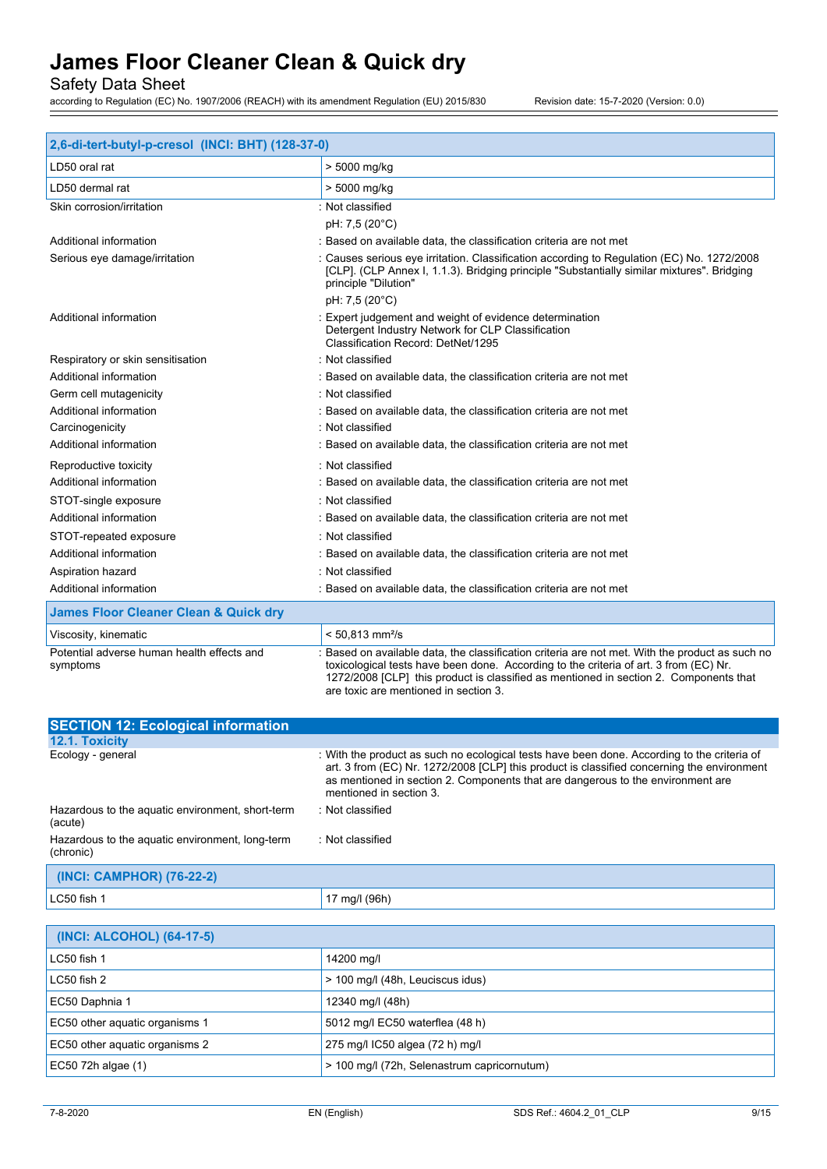Safety Data Sheet

according to Regulation (EC) No. 1907/2006 (REACH) with its amendment Regulation (EU) 2015/830 Revision date: 15-7-2020 (Version: 0.0)

| 2,6-di-tert-butyl-p-cresol (INCI: BHT) (128-37-0)      |                                                                                                                                                                                                                                                                                   |  |
|--------------------------------------------------------|-----------------------------------------------------------------------------------------------------------------------------------------------------------------------------------------------------------------------------------------------------------------------------------|--|
| LD50 oral rat                                          | > 5000 mg/kg                                                                                                                                                                                                                                                                      |  |
| LD50 dermal rat                                        | > 5000 mg/kg                                                                                                                                                                                                                                                                      |  |
| Skin corrosion/irritation                              | : Not classified                                                                                                                                                                                                                                                                  |  |
|                                                        | pH: 7,5 (20°C)                                                                                                                                                                                                                                                                    |  |
| Additional information                                 | : Based on available data, the classification criteria are not met                                                                                                                                                                                                                |  |
| Serious eye damage/irritation                          | : Causes serious eye irritation. Classification according to Regulation (EC) No. 1272/2008<br>[CLP]. (CLP Annex I, 1.1.3). Bridging principle "Substantially similar mixtures". Bridging<br>principle "Dilution"                                                                  |  |
|                                                        | pH: 7,5 (20°C)                                                                                                                                                                                                                                                                    |  |
| Additional information                                 | : Expert judgement and weight of evidence determination<br>Detergent Industry Network for CLP Classification<br>Classification Record: DetNet/1295                                                                                                                                |  |
| Respiratory or skin sensitisation                      | : Not classified                                                                                                                                                                                                                                                                  |  |
| Additional information                                 | : Based on available data, the classification criteria are not met                                                                                                                                                                                                                |  |
| Germ cell mutagenicity                                 | : Not classified                                                                                                                                                                                                                                                                  |  |
| Additional information                                 | : Based on available data, the classification criteria are not met                                                                                                                                                                                                                |  |
| Carcinogenicity                                        | : Not classified                                                                                                                                                                                                                                                                  |  |
| Additional information                                 | : Based on available data, the classification criteria are not met                                                                                                                                                                                                                |  |
| Reproductive toxicity                                  | : Not classified                                                                                                                                                                                                                                                                  |  |
| Additional information                                 | : Based on available data, the classification criteria are not met                                                                                                                                                                                                                |  |
| STOT-single exposure                                   | : Not classified                                                                                                                                                                                                                                                                  |  |
| Additional information                                 | : Based on available data, the classification criteria are not met                                                                                                                                                                                                                |  |
| STOT-repeated exposure                                 | : Not classified                                                                                                                                                                                                                                                                  |  |
| Additional information                                 | : Based on available data, the classification criteria are not met                                                                                                                                                                                                                |  |
| Aspiration hazard                                      | : Not classified                                                                                                                                                                                                                                                                  |  |
| Additional information                                 | : Based on available data, the classification criteria are not met                                                                                                                                                                                                                |  |
| <b>James Floor Cleaner Clean &amp; Quick dry</b>       |                                                                                                                                                                                                                                                                                   |  |
| Viscosity, kinematic                                   | $< 50,813$ mm <sup>2</sup> /s                                                                                                                                                                                                                                                     |  |
| Potential adverse human health effects and<br>symptoms | : Based on available data, the classification criteria are not met. With the product as such no<br>toxicological tests have been done. According to the criteria of art. 3 from (EC) Nr.<br>1272/2008 [CLP] this product is classified as mentioned in section 2. Components that |  |

| <b>SECTION 12: Ecological information</b>                    |                                                                                                                                                                                                                                                                                                         |
|--------------------------------------------------------------|---------------------------------------------------------------------------------------------------------------------------------------------------------------------------------------------------------------------------------------------------------------------------------------------------------|
| 12.1. Toxicity                                               |                                                                                                                                                                                                                                                                                                         |
| Ecology - general                                            | : With the product as such no ecological tests have been done. According to the criteria of<br>art. 3 from (EC) Nr. 1272/2008 [CLP] this product is classified concerning the environment<br>as mentioned in section 2. Components that are dangerous to the environment are<br>mentioned in section 3. |
| Hazardous to the aquatic environment, short-term<br>(acute)  | : Not classified                                                                                                                                                                                                                                                                                        |
| Hazardous to the aquatic environment, long-term<br>(chronic) | : Not classified                                                                                                                                                                                                                                                                                        |
| (INCI: CAMPHOR) (76-22-2)                                    |                                                                                                                                                                                                                                                                                                         |
| LC50 fish 1                                                  | 17 ma/l (96h)                                                                                                                                                                                                                                                                                           |

are toxic are mentioned in section 3.

| (INCI: ALCOHOL) (64-17-5)      |                                             |  |
|--------------------------------|---------------------------------------------|--|
| LC50 fish 1                    | 14200 mg/l                                  |  |
| LC50 fish 2                    | > 100 mg/l (48h, Leuciscus idus)            |  |
| EC50 Daphnia 1                 | 12340 mg/l (48h)                            |  |
| EC50 other aguatic organisms 1 | 5012 mg/l EC50 waterflea (48 h)             |  |
| EC50 other aquatic organisms 2 | 275 mg/l IC50 algea (72 h) mg/l             |  |
| EC50 72h algae (1)             | > 100 mg/l (72h, Selenastrum capricornutum) |  |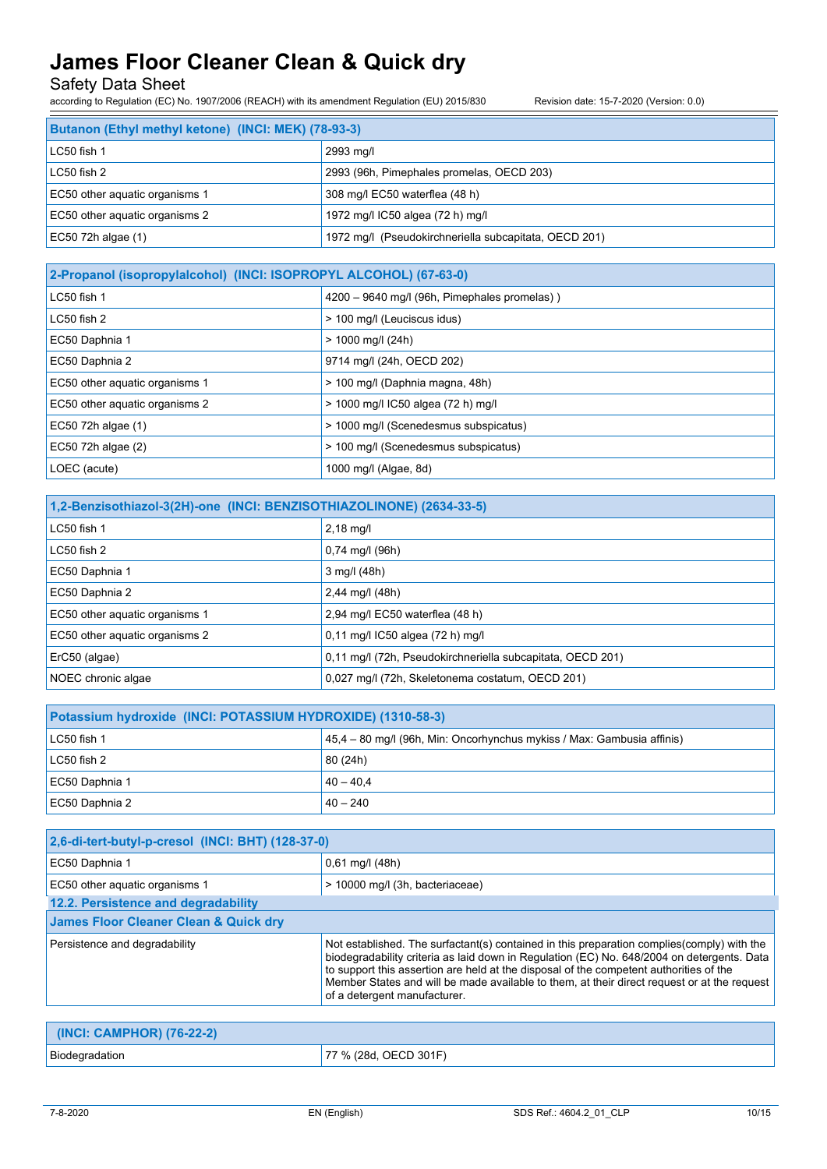Safety Data Sheet

according to Regulation (EC) No. 1907/2006 (REACH) with its amendment Regulation (EU) 2015/830 Revision date: 15-7-2020 (Version: 0.0)

| Butanon (Ethyl methyl ketone) (INCI: MEK) (78-93-3) |                                                       |  |
|-----------------------------------------------------|-------------------------------------------------------|--|
| LC50 fish 1                                         | 2993 mg/l                                             |  |
| $LC50$ fish 2                                       | 2993 (96h, Pimephales promelas, OECD 203)             |  |
| EC50 other aquatic organisms 1                      | 308 mg/l EC50 waterflea (48 h)                        |  |
| EC50 other aquatic organisms 2                      | 1972 mg/l IC50 algea (72 h) mg/l                      |  |
| EC50 72h algae $(1)$                                | 1972 mg/l (Pseudokirchneriella subcapitata, OECD 201) |  |

| 2-Propanol (isopropylalcohol) (INCI: ISOPROPYL ALCOHOL) (67-63-0) |                                              |  |
|-------------------------------------------------------------------|----------------------------------------------|--|
| $LC50$ fish 1                                                     | 4200 - 9640 mg/l (96h, Pimephales promelas)) |  |
| $LC50$ fish $2$                                                   | > 100 mg/l (Leuciscus idus)                  |  |
| EC50 Daphnia 1                                                    | $> 1000$ mg/l (24h)                          |  |
| EC50 Daphnia 2                                                    | 9714 mg/l (24h, OECD 202)                    |  |
| EC50 other aquatic organisms 1                                    | > 100 mg/l (Daphnia magna, 48h)              |  |
| EC50 other aquatic organisms 2                                    | > 1000 mg/l IC50 algea (72 h) mg/l           |  |
| EC50 72h algae (1)                                                | > 1000 mg/l (Scenedesmus subspicatus)        |  |
| EC50 72h algae (2)                                                | > 100 mg/l (Scenedesmus subspicatus)         |  |
| LOEC (acute)                                                      | 1000 mg/l (Algae, 8d)                        |  |

| 1,2-Benzisothiazol-3(2H)-one (INCI: BENZISOTHIAZOLINONE) (2634-33-5) |                                                            |  |
|----------------------------------------------------------------------|------------------------------------------------------------|--|
| LC50 fish 1                                                          | $2,18$ mg/l                                                |  |
| $LC50$ fish $2$                                                      | $0,74 \text{ mg/l}$ (96h)                                  |  |
| EC50 Daphnia 1                                                       | $3$ mg/l (48h)                                             |  |
| EC50 Daphnia 2                                                       | 2,44 mg/l (48h)                                            |  |
| EC50 other aquatic organisms 1                                       | 2,94 mg/l EC50 waterflea (48 h)                            |  |
| EC50 other aquatic organisms 2                                       | 0,11 mg/l IC50 algea (72 h) mg/l                           |  |
| ErC50 (algae)                                                        | 0,11 mg/l (72h, Pseudokirchneriella subcapitata, OECD 201) |  |
| NOEC chronic algae                                                   | 0,027 mg/l (72h, Skeletonema costatum, OECD 201)           |  |

| Potassium hydroxide (INCI: POTASSIUM HYDROXIDE) (1310-58-3) |                                                                        |  |
|-------------------------------------------------------------|------------------------------------------------------------------------|--|
| LC50 fish 1                                                 | 45.4 – 80 mg/l (96h, Min: Oncorhynchus mykiss / Max: Gambusia affinis) |  |
| LC50 fish 2                                                 | 80 (24h)                                                               |  |
| EC50 Daphnia 1                                              | $40 - 40.4$                                                            |  |
| EC50 Daphnia 2                                              | $40 - 240$                                                             |  |

| 2,6-di-tert-butyl-p-cresol (INCI: BHT) (128-37-0) |                                                                                                                                                                                                                                                                                                                                                                                                                    |  |
|---------------------------------------------------|--------------------------------------------------------------------------------------------------------------------------------------------------------------------------------------------------------------------------------------------------------------------------------------------------------------------------------------------------------------------------------------------------------------------|--|
| EC50 Daphnia 1                                    | $0,61$ mg/l (48h)                                                                                                                                                                                                                                                                                                                                                                                                  |  |
| EC50 other aquatic organisms 1                    | > 10000 mg/l (3h, bacteriaceae)                                                                                                                                                                                                                                                                                                                                                                                    |  |
| 12.2. Persistence and degradability               |                                                                                                                                                                                                                                                                                                                                                                                                                    |  |
| <b>James Floor Cleaner Clean &amp; Quick dry</b>  |                                                                                                                                                                                                                                                                                                                                                                                                                    |  |
| Persistence and degradability                     | Not established. The surfactant(s) contained in this preparation complies (comply) with the<br>biodegradability criteria as laid down in Regulation (EC) No. 648/2004 on detergents. Data<br>to support this assertion are held at the disposal of the competent authorities of the<br>Member States and will be made available to them, at their direct request or at the request<br>of a detergent manufacturer. |  |

| (INCI: CAMPHOR) (76-22-2) |                       |
|---------------------------|-----------------------|
| Biodegradation            | 77 % (28d, OECD 301F) |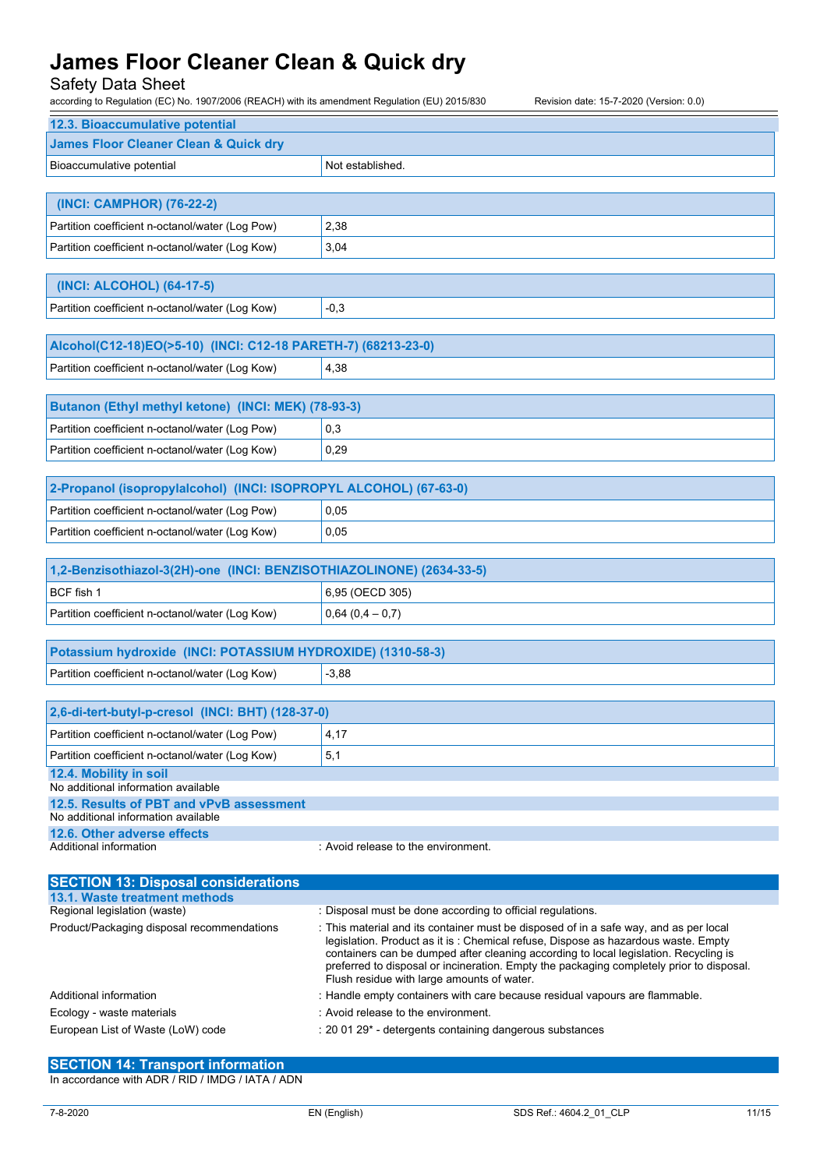Safety Data Sheet

| according to Regulation (EC) No. 1907/2006 (REACH) with its amendment Regulation (EU) 2015/830<br>Revision date: 15-7-2020 (Version: 0.0) |                                                                                       |  |
|-------------------------------------------------------------------------------------------------------------------------------------------|---------------------------------------------------------------------------------------|--|
| 12.3. Bioaccumulative potential                                                                                                           |                                                                                       |  |
| <b>James Floor Cleaner Clean &amp; Quick dry</b>                                                                                          |                                                                                       |  |
| Bioaccumulative potential                                                                                                                 | Not established.                                                                      |  |
|                                                                                                                                           |                                                                                       |  |
| (INCI: CAMPHOR) (76-22-2)                                                                                                                 |                                                                                       |  |
| Partition coefficient n-octanol/water (Log Pow)                                                                                           | 2,38                                                                                  |  |
| Partition coefficient n-octanol/water (Log Kow)                                                                                           | 3,04                                                                                  |  |
|                                                                                                                                           |                                                                                       |  |
| (INCI: ALCOHOL) (64-17-5)                                                                                                                 |                                                                                       |  |
| Partition coefficient n-octanol/water (Log Kow)                                                                                           | $-0,3$                                                                                |  |
|                                                                                                                                           |                                                                                       |  |
| Alcohol(C12-18)EO(>5-10) (INCI: C12-18 PARETH-7) (68213-23-0)                                                                             |                                                                                       |  |
| Partition coefficient n-octanol/water (Log Kow)                                                                                           | 4,38                                                                                  |  |
| Butanon (Ethyl methyl ketone) (INCI: MEK) (78-93-3)                                                                                       |                                                                                       |  |
| Partition coefficient n-octanol/water (Log Pow)                                                                                           | 0,3                                                                                   |  |
| Partition coefficient n-octanol/water (Log Kow)                                                                                           | 0,29                                                                                  |  |
|                                                                                                                                           |                                                                                       |  |
| 2-Propanol (isopropylalcohol) (INCI: ISOPROPYL ALCOHOL) (67-63-0)                                                                         |                                                                                       |  |
| Partition coefficient n-octanol/water (Log Pow)                                                                                           | 0.05                                                                                  |  |
| Partition coefficient n-octanol/water (Log Kow)                                                                                           | 0,05                                                                                  |  |
|                                                                                                                                           |                                                                                       |  |
| 1,2-Benzisothiazol-3(2H)-one (INCI: BENZISOTHIAZOLINONE) (2634-33-5)                                                                      |                                                                                       |  |
| BCF fish 1                                                                                                                                | 6,95 (OECD 305)                                                                       |  |
| Partition coefficient n-octanol/water (Log Kow)                                                                                           | $0,64(0,4-0,7)$                                                                       |  |
| Potassium hydroxide (INCI: POTASSIUM HYDROXIDE) (1310-58-3)                                                                               |                                                                                       |  |
| Partition coefficient n-octanol/water (Log Kow)                                                                                           | $-3,88$                                                                               |  |
|                                                                                                                                           |                                                                                       |  |
| 2,6-di-tert-butyl-p-cresol (INCI: BHT) (128-37-0)                                                                                         |                                                                                       |  |
| Partition coefficient n-octanol/water (Log Pow)                                                                                           | 4,17                                                                                  |  |
| Partition coefficient n-octanol/water (Log Kow)                                                                                           | 5,1                                                                                   |  |
| 12.4. Mobility in soil<br>No additional information available                                                                             |                                                                                       |  |
| 12.5. Results of PBT and vPvB assessment                                                                                                  |                                                                                       |  |
| No additional information available<br>12.6. Other adverse effects                                                                        |                                                                                       |  |
| Additional information                                                                                                                    | : Avoid release to the environment.                                                   |  |
|                                                                                                                                           |                                                                                       |  |
| <b>SECTION 13: Disposal considerations</b>                                                                                                |                                                                                       |  |
| 13.1. Waste treatment methods<br>Regional legislation (waste)                                                                             | : Disposal must be done according to official regulations.                            |  |
| Product/Packaging disposal recommendations                                                                                                | : This material and its container must be disposed of in a safe way, and as per local |  |
|                                                                                                                                           | legislation. Product as it is: Chemical refuse. Dispose as hazardous waste. Empty     |  |

| Regional legislation (waste)               | : Disposal must be done according to official regulations.                                                                                                                                                                                                                                                                                                                                                   |  |
|--------------------------------------------|--------------------------------------------------------------------------------------------------------------------------------------------------------------------------------------------------------------------------------------------------------------------------------------------------------------------------------------------------------------------------------------------------------------|--|
| Product/Packaging disposal recommendations | : This material and its container must be disposed of in a safe way, and as per local<br>legislation. Product as it is: Chemical refuse, Dispose as hazardous waste. Empty<br>containers can be dumped after cleaning according to local legislation. Recycling is<br>preferred to disposal or incineration. Empty the packaging completely prior to disposal.<br>Flush residue with large amounts of water. |  |
| Additional information                     | : Handle empty containers with care because residual vapours are flammable.                                                                                                                                                                                                                                                                                                                                  |  |
| Ecology - waste materials                  | : Avoid release to the environment.                                                                                                                                                                                                                                                                                                                                                                          |  |
| European List of Waste (LoW) code          | : 20 01 29 <sup>*</sup> - detergents containing dangerous substances                                                                                                                                                                                                                                                                                                                                         |  |
|                                            |                                                                                                                                                                                                                                                                                                                                                                                                              |  |

### **SECTION 14: Transport information**

In accordance with ADR / RID / IMDG / IATA / ADN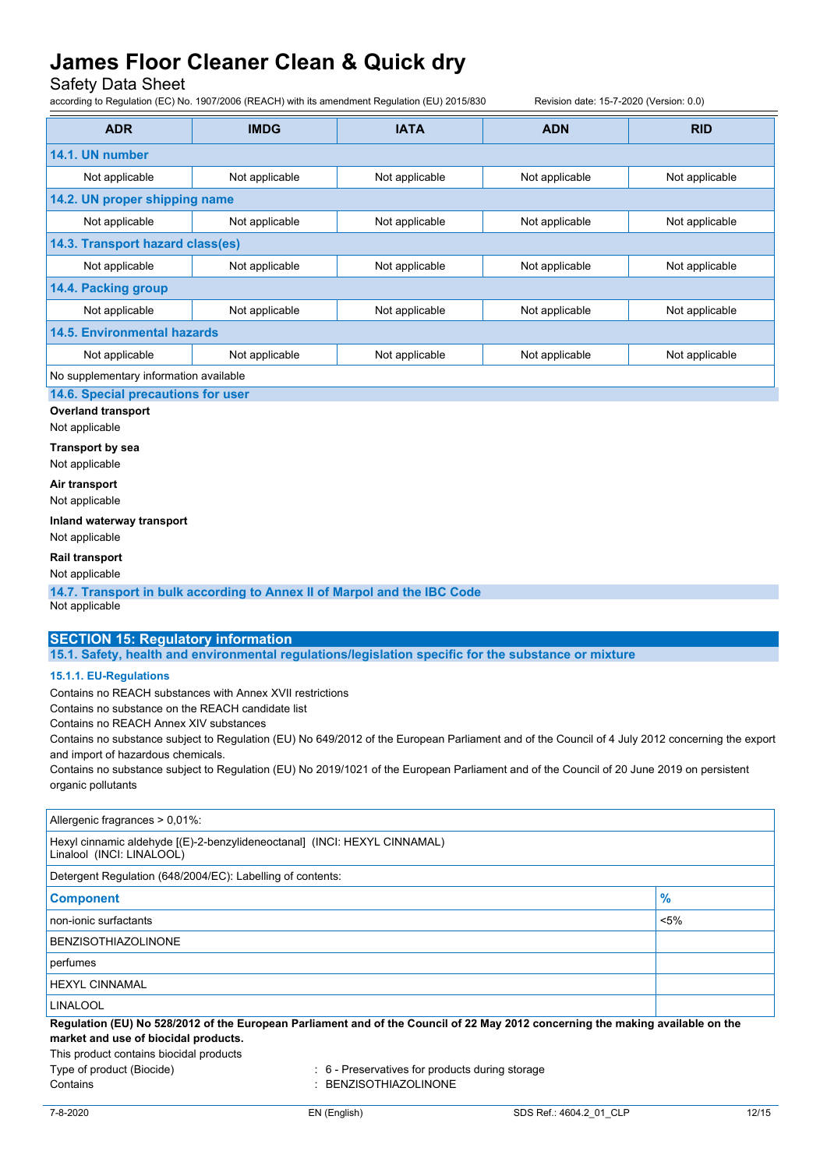Safety Data Sheet

|                                                                                                        | according to Regulation (EC) No. 1907/2006 (REACH) with its amendment Regulation (EU) 2015/830 |                | Revision date: 15-7-2020 (Version: 0.0)                                                                                                         |                |
|--------------------------------------------------------------------------------------------------------|------------------------------------------------------------------------------------------------|----------------|-------------------------------------------------------------------------------------------------------------------------------------------------|----------------|
| <b>ADR</b>                                                                                             | <b>IMDG</b>                                                                                    | <b>IATA</b>    | <b>ADN</b>                                                                                                                                      | <b>RID</b>     |
| 14.1. UN number                                                                                        |                                                                                                |                |                                                                                                                                                 |                |
| Not applicable                                                                                         | Not applicable                                                                                 | Not applicable | Not applicable                                                                                                                                  | Not applicable |
| 14.2. UN proper shipping name                                                                          |                                                                                                |                |                                                                                                                                                 |                |
| Not applicable                                                                                         | Not applicable                                                                                 | Not applicable | Not applicable                                                                                                                                  | Not applicable |
| 14.3. Transport hazard class(es)                                                                       |                                                                                                |                |                                                                                                                                                 |                |
| Not applicable                                                                                         | Not applicable                                                                                 | Not applicable | Not applicable                                                                                                                                  | Not applicable |
| 14.4. Packing group                                                                                    |                                                                                                |                |                                                                                                                                                 |                |
| Not applicable                                                                                         | Not applicable                                                                                 | Not applicable | Not applicable                                                                                                                                  | Not applicable |
| <b>14.5. Environmental hazards</b>                                                                     |                                                                                                |                |                                                                                                                                                 |                |
| Not applicable                                                                                         | Not applicable                                                                                 | Not applicable | Not applicable                                                                                                                                  | Not applicable |
| No supplementary information available                                                                 |                                                                                                |                |                                                                                                                                                 |                |
| 14.6. Special precautions for user                                                                     |                                                                                                |                |                                                                                                                                                 |                |
| <b>Overland transport</b>                                                                              |                                                                                                |                |                                                                                                                                                 |                |
| Not applicable                                                                                         |                                                                                                |                |                                                                                                                                                 |                |
| <b>Transport by sea</b>                                                                                |                                                                                                |                |                                                                                                                                                 |                |
| Not applicable                                                                                         |                                                                                                |                |                                                                                                                                                 |                |
| Air transport<br>Not applicable                                                                        |                                                                                                |                |                                                                                                                                                 |                |
| Inland waterway transport                                                                              |                                                                                                |                |                                                                                                                                                 |                |
| Not applicable                                                                                         |                                                                                                |                |                                                                                                                                                 |                |
| <b>Rail transport</b>                                                                                  |                                                                                                |                |                                                                                                                                                 |                |
| Not applicable                                                                                         |                                                                                                |                |                                                                                                                                                 |                |
|                                                                                                        | 14.7. Transport in bulk according to Annex II of Marpol and the IBC Code                       |                |                                                                                                                                                 |                |
| Not applicable                                                                                         |                                                                                                |                |                                                                                                                                                 |                |
| <b>SECTION 15: Regulatory information</b>                                                              |                                                                                                |                |                                                                                                                                                 |                |
|                                                                                                        |                                                                                                |                | 15.1. Safety, health and environmental regulations/legislation specific for the substance or mixture                                            |                |
| 15.1.1. EU-Regulations                                                                                 |                                                                                                |                |                                                                                                                                                 |                |
|                                                                                                        | Contains no REACH substances with Annex XVII restrictions                                      |                |                                                                                                                                                 |                |
| Contains no substance on the REACH candidate list                                                      |                                                                                                |                |                                                                                                                                                 |                |
| Contains no REACH Annex XIV substances                                                                 |                                                                                                |                |                                                                                                                                                 |                |
|                                                                                                        |                                                                                                |                | Contains no substance subject to Regulation (EU) No 649/2012 of the European Parliament and of the Council of 4 July 2012 concerning the export |                |
| and import of hazardous chemicals.                                                                     |                                                                                                |                | Contains no substance subject to Regulation (EU) No 2019/1021 of the European Parliament and of the Council of 20 June 2019 on persistent       |                |
| organic pollutants                                                                                     |                                                                                                |                |                                                                                                                                                 |                |
|                                                                                                        |                                                                                                |                |                                                                                                                                                 |                |
| Allergenic fragrances > 0,01%:                                                                         |                                                                                                |                |                                                                                                                                                 |                |
| Hexyl cinnamic aldehyde [(E)-2-benzylideneoctanal] (INCI: HEXYL CINNAMAL)<br>Linalool (INCI: LINALOOL) |                                                                                                |                |                                                                                                                                                 |                |
|                                                                                                        | Detergent Regulation (648/2004/EC): Labelling of contents:                                     |                |                                                                                                                                                 |                |
| <b>Component</b>                                                                                       |                                                                                                |                |                                                                                                                                                 | $\frac{9}{6}$  |
| non-ionic surfactants                                                                                  |                                                                                                |                |                                                                                                                                                 | $< 5\%$        |
| <b>BENZISOTHIAZOLINONE</b>                                                                             |                                                                                                |                |                                                                                                                                                 |                |

perfumes

HEXYL CINNAMAL

LINALOOL

Regulation (EU) No 528/2012 of the European Parliament and of the Council of 22 May 2012 concerning the making available on the **market and use of biocidal products.**

This product contains biocidal products

Type of product (Biocide) : 6 - Preservatives for products during storage Contains : BENZISOTHIAZOLINONE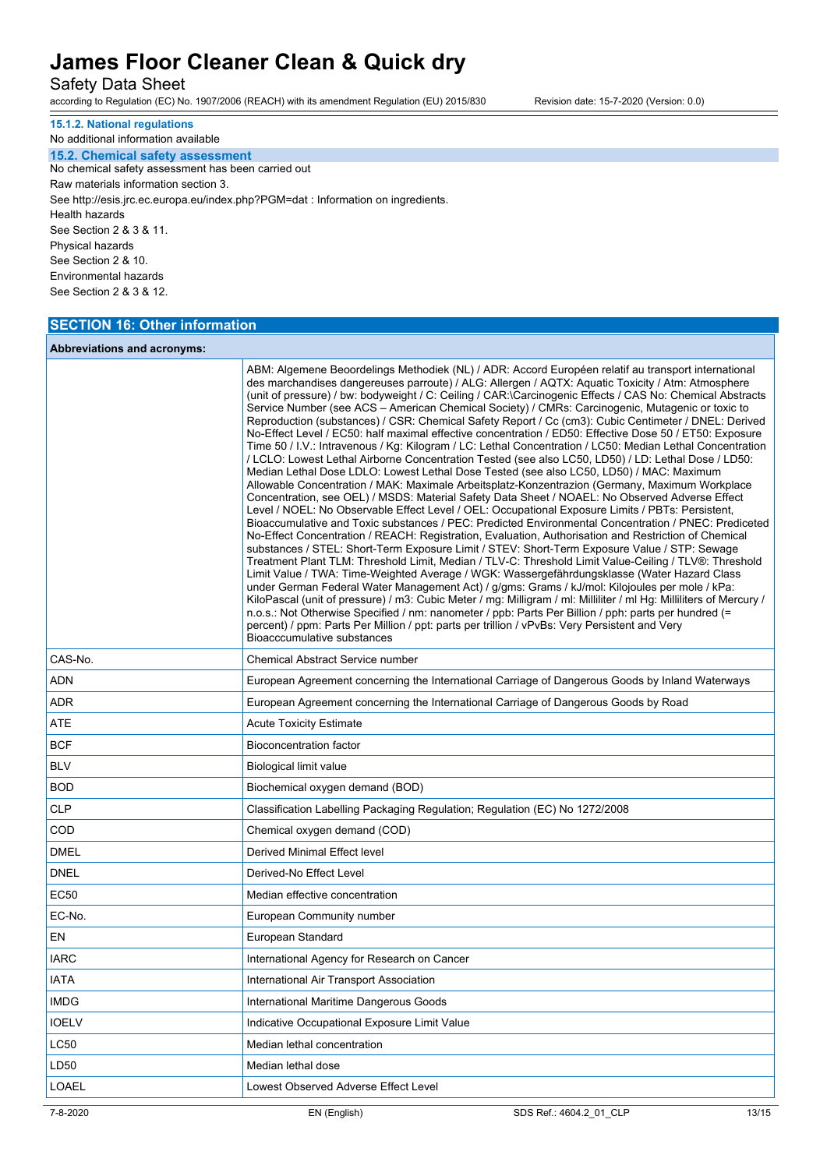Safety Data Sheet

according to Regulation (EC) No. 1907/2006 (REACH) with its amendment Regulation (EU) 2015/830 Revision date: 15-7-2020 (Version: 0.0)

**15.1.2. National regulations**

No additional information available **15.2. Chemical safety assessment** No chemical safety assessment has been carried out Raw materials information section 3. See http://esis.jrc.ec.europa.eu/index.php?PGM=dat : Information on ingredients. Health hazards See Section 2 & 3 & 11. Physical hazards See Section 2 & 10. Environmental hazards See Section 2 & 3 & 12.

### **SECTION 16: Other information**

### **Abbreviations and acronyms:**

|              | Bioacccumulative substances                  | ABM: Algemene Beoordelings Methodiek (NL) / ADR: Accord Européen relatif au transport international<br>des marchandises dangereuses parroute) / ALG: Allergen / AQTX: Aquatic Toxicity / Atm: Atmosphere<br>(unit of pressure) / bw: bodyweight / C: Ceiling / CAR: \Carcinogenic Effects / CAS No: Chemical Abstracts<br>Service Number (see ACS - American Chemical Society) / CMRs: Carcinogenic, Mutagenic or toxic to<br>Reproduction (substances) / CSR: Chemical Safety Report / Cc (cm3): Cubic Centimeter / DNEL: Derived<br>No-Effect Level / EC50: half maximal effective concentration / ED50: Effective Dose 50 / ET50: Exposure<br>Time 50 / I.V.: Intravenous / Kg: Kilogram / LC: Lethal Concentration / LC50: Median Lethal Concentration<br>/ LCLO: Lowest Lethal Airborne Concentration Tested (see also LC50, LD50) / LD: Lethal Dose / LD50:<br>Median Lethal Dose LDLO: Lowest Lethal Dose Tested (see also LC50, LD50) / MAC: Maximum<br>Allowable Concentration / MAK: Maximale Arbeitsplatz-Konzentrazion (Germany, Maximum Workplace<br>Concentration, see OEL) / MSDS: Material Safety Data Sheet / NOAEL: No Observed Adverse Effect<br>Level / NOEL: No Observable Effect Level / OEL: Occupational Exposure Limits / PBTs: Persistent,<br>Bioaccumulative and Toxic substances / PEC: Predicted Environmental Concentration / PNEC: Prediceted<br>No-Effect Concentration / REACH: Registration, Evaluation, Authorisation and Restriction of Chemical<br>substances / STEL: Short-Term Exposure Limit / STEV: Short-Term Exposure Value / STP: Sewage<br>Treatment Plant TLM: Threshold Limit, Median / TLV-C: Threshold Limit Value-Ceiling / TLV®: Threshold<br>Limit Value / TWA: Time-Weighted Average / WGK: Wassergefährdungsklasse (Water Hazard Class<br>under German Federal Water Management Act) / g/gms: Grams / kJ/mol: Kilojoules per mole / kPa:<br>KiloPascal (unit of pressure) / m3: Cubic Meter / mg: Milligram / ml: Milliliter / ml Hg: Milliliters of Mercury /<br>n.o.s.: Not Otherwise Specified / nm: nanometer / ppb: Parts Per Billion / pph: parts per hundred (=<br>percent) / ppm: Parts Per Million / ppt: parts per trillion / vPvBs: Very Persistent and Very |       |  |
|--------------|----------------------------------------------|-------------------------------------------------------------------------------------------------------------------------------------------------------------------------------------------------------------------------------------------------------------------------------------------------------------------------------------------------------------------------------------------------------------------------------------------------------------------------------------------------------------------------------------------------------------------------------------------------------------------------------------------------------------------------------------------------------------------------------------------------------------------------------------------------------------------------------------------------------------------------------------------------------------------------------------------------------------------------------------------------------------------------------------------------------------------------------------------------------------------------------------------------------------------------------------------------------------------------------------------------------------------------------------------------------------------------------------------------------------------------------------------------------------------------------------------------------------------------------------------------------------------------------------------------------------------------------------------------------------------------------------------------------------------------------------------------------------------------------------------------------------------------------------------------------------------------------------------------------------------------------------------------------------------------------------------------------------------------------------------------------------------------------------------------------------------------------------------------------------------------------------------------------------------------------------------------------------------------------|-------|--|
| CAS-No.      | Chemical Abstract Service number             |                                                                                                                                                                                                                                                                                                                                                                                                                                                                                                                                                                                                                                                                                                                                                                                                                                                                                                                                                                                                                                                                                                                                                                                                                                                                                                                                                                                                                                                                                                                                                                                                                                                                                                                                                                                                                                                                                                                                                                                                                                                                                                                                                                                                                               |       |  |
| ADN          |                                              | European Agreement concerning the International Carriage of Dangerous Goods by Inland Waterways                                                                                                                                                                                                                                                                                                                                                                                                                                                                                                                                                                                                                                                                                                                                                                                                                                                                                                                                                                                                                                                                                                                                                                                                                                                                                                                                                                                                                                                                                                                                                                                                                                                                                                                                                                                                                                                                                                                                                                                                                                                                                                                               |       |  |
| ADR          |                                              | European Agreement concerning the International Carriage of Dangerous Goods by Road                                                                                                                                                                                                                                                                                                                                                                                                                                                                                                                                                                                                                                                                                                                                                                                                                                                                                                                                                                                                                                                                                                                                                                                                                                                                                                                                                                                                                                                                                                                                                                                                                                                                                                                                                                                                                                                                                                                                                                                                                                                                                                                                           |       |  |
| ATE          | Acute Toxicity Estimate                      |                                                                                                                                                                                                                                                                                                                                                                                                                                                                                                                                                                                                                                                                                                                                                                                                                                                                                                                                                                                                                                                                                                                                                                                                                                                                                                                                                                                                                                                                                                                                                                                                                                                                                                                                                                                                                                                                                                                                                                                                                                                                                                                                                                                                                               |       |  |
| <b>BCF</b>   | Bioconcentration factor                      |                                                                                                                                                                                                                                                                                                                                                                                                                                                                                                                                                                                                                                                                                                                                                                                                                                                                                                                                                                                                                                                                                                                                                                                                                                                                                                                                                                                                                                                                                                                                                                                                                                                                                                                                                                                                                                                                                                                                                                                                                                                                                                                                                                                                                               |       |  |
| <b>BLV</b>   | Biological limit value                       |                                                                                                                                                                                                                                                                                                                                                                                                                                                                                                                                                                                                                                                                                                                                                                                                                                                                                                                                                                                                                                                                                                                                                                                                                                                                                                                                                                                                                                                                                                                                                                                                                                                                                                                                                                                                                                                                                                                                                                                                                                                                                                                                                                                                                               |       |  |
| <b>BOD</b>   |                                              | Biochemical oxygen demand (BOD)                                                                                                                                                                                                                                                                                                                                                                                                                                                                                                                                                                                                                                                                                                                                                                                                                                                                                                                                                                                                                                                                                                                                                                                                                                                                                                                                                                                                                                                                                                                                                                                                                                                                                                                                                                                                                                                                                                                                                                                                                                                                                                                                                                                               |       |  |
| <b>CLP</b>   |                                              | Classification Labelling Packaging Regulation; Regulation (EC) No 1272/2008                                                                                                                                                                                                                                                                                                                                                                                                                                                                                                                                                                                                                                                                                                                                                                                                                                                                                                                                                                                                                                                                                                                                                                                                                                                                                                                                                                                                                                                                                                                                                                                                                                                                                                                                                                                                                                                                                                                                                                                                                                                                                                                                                   |       |  |
| COD          | Chemical oxygen demand (COD)                 |                                                                                                                                                                                                                                                                                                                                                                                                                                                                                                                                                                                                                                                                                                                                                                                                                                                                                                                                                                                                                                                                                                                                                                                                                                                                                                                                                                                                                                                                                                                                                                                                                                                                                                                                                                                                                                                                                                                                                                                                                                                                                                                                                                                                                               |       |  |
| <b>DMEL</b>  | Derived Minimal Effect level                 |                                                                                                                                                                                                                                                                                                                                                                                                                                                                                                                                                                                                                                                                                                                                                                                                                                                                                                                                                                                                                                                                                                                                                                                                                                                                                                                                                                                                                                                                                                                                                                                                                                                                                                                                                                                                                                                                                                                                                                                                                                                                                                                                                                                                                               |       |  |
| <b>DNEL</b>  | Derived-No Effect Level                      |                                                                                                                                                                                                                                                                                                                                                                                                                                                                                                                                                                                                                                                                                                                                                                                                                                                                                                                                                                                                                                                                                                                                                                                                                                                                                                                                                                                                                                                                                                                                                                                                                                                                                                                                                                                                                                                                                                                                                                                                                                                                                                                                                                                                                               |       |  |
| <b>EC50</b>  | Median effective concentration               |                                                                                                                                                                                                                                                                                                                                                                                                                                                                                                                                                                                                                                                                                                                                                                                                                                                                                                                                                                                                                                                                                                                                                                                                                                                                                                                                                                                                                                                                                                                                                                                                                                                                                                                                                                                                                                                                                                                                                                                                                                                                                                                                                                                                                               |       |  |
| EC-No.       | European Community number                    |                                                                                                                                                                                                                                                                                                                                                                                                                                                                                                                                                                                                                                                                                                                                                                                                                                                                                                                                                                                                                                                                                                                                                                                                                                                                                                                                                                                                                                                                                                                                                                                                                                                                                                                                                                                                                                                                                                                                                                                                                                                                                                                                                                                                                               |       |  |
| EN           | European Standard                            |                                                                                                                                                                                                                                                                                                                                                                                                                                                                                                                                                                                                                                                                                                                                                                                                                                                                                                                                                                                                                                                                                                                                                                                                                                                                                                                                                                                                                                                                                                                                                                                                                                                                                                                                                                                                                                                                                                                                                                                                                                                                                                                                                                                                                               |       |  |
| IARC         | International Agency for Research on Cancer  |                                                                                                                                                                                                                                                                                                                                                                                                                                                                                                                                                                                                                                                                                                                                                                                                                                                                                                                                                                                                                                                                                                                                                                                                                                                                                                                                                                                                                                                                                                                                                                                                                                                                                                                                                                                                                                                                                                                                                                                                                                                                                                                                                                                                                               |       |  |
| <b>IATA</b>  | International Air Transport Association      |                                                                                                                                                                                                                                                                                                                                                                                                                                                                                                                                                                                                                                                                                                                                                                                                                                                                                                                                                                                                                                                                                                                                                                                                                                                                                                                                                                                                                                                                                                                                                                                                                                                                                                                                                                                                                                                                                                                                                                                                                                                                                                                                                                                                                               |       |  |
| <b>IMDG</b>  |                                              | International Maritime Dangerous Goods                                                                                                                                                                                                                                                                                                                                                                                                                                                                                                                                                                                                                                                                                                                                                                                                                                                                                                                                                                                                                                                                                                                                                                                                                                                                                                                                                                                                                                                                                                                                                                                                                                                                                                                                                                                                                                                                                                                                                                                                                                                                                                                                                                                        |       |  |
| <b>IOELV</b> | Indicative Occupational Exposure Limit Value |                                                                                                                                                                                                                                                                                                                                                                                                                                                                                                                                                                                                                                                                                                                                                                                                                                                                                                                                                                                                                                                                                                                                                                                                                                                                                                                                                                                                                                                                                                                                                                                                                                                                                                                                                                                                                                                                                                                                                                                                                                                                                                                                                                                                                               |       |  |
| LC50         | Median lethal concentration                  |                                                                                                                                                                                                                                                                                                                                                                                                                                                                                                                                                                                                                                                                                                                                                                                                                                                                                                                                                                                                                                                                                                                                                                                                                                                                                                                                                                                                                                                                                                                                                                                                                                                                                                                                                                                                                                                                                                                                                                                                                                                                                                                                                                                                                               |       |  |
| LD50         | Median lethal dose                           |                                                                                                                                                                                                                                                                                                                                                                                                                                                                                                                                                                                                                                                                                                                                                                                                                                                                                                                                                                                                                                                                                                                                                                                                                                                                                                                                                                                                                                                                                                                                                                                                                                                                                                                                                                                                                                                                                                                                                                                                                                                                                                                                                                                                                               |       |  |
| LOAEL        | Lowest Observed Adverse Effect Level         |                                                                                                                                                                                                                                                                                                                                                                                                                                                                                                                                                                                                                                                                                                                                                                                                                                                                                                                                                                                                                                                                                                                                                                                                                                                                                                                                                                                                                                                                                                                                                                                                                                                                                                                                                                                                                                                                                                                                                                                                                                                                                                                                                                                                                               |       |  |
| 7-8-2020     | EN (English)                                 | SDS Ref.: 4604.2 01 CLP                                                                                                                                                                                                                                                                                                                                                                                                                                                                                                                                                                                                                                                                                                                                                                                                                                                                                                                                                                                                                                                                                                                                                                                                                                                                                                                                                                                                                                                                                                                                                                                                                                                                                                                                                                                                                                                                                                                                                                                                                                                                                                                                                                                                       | 13/15 |  |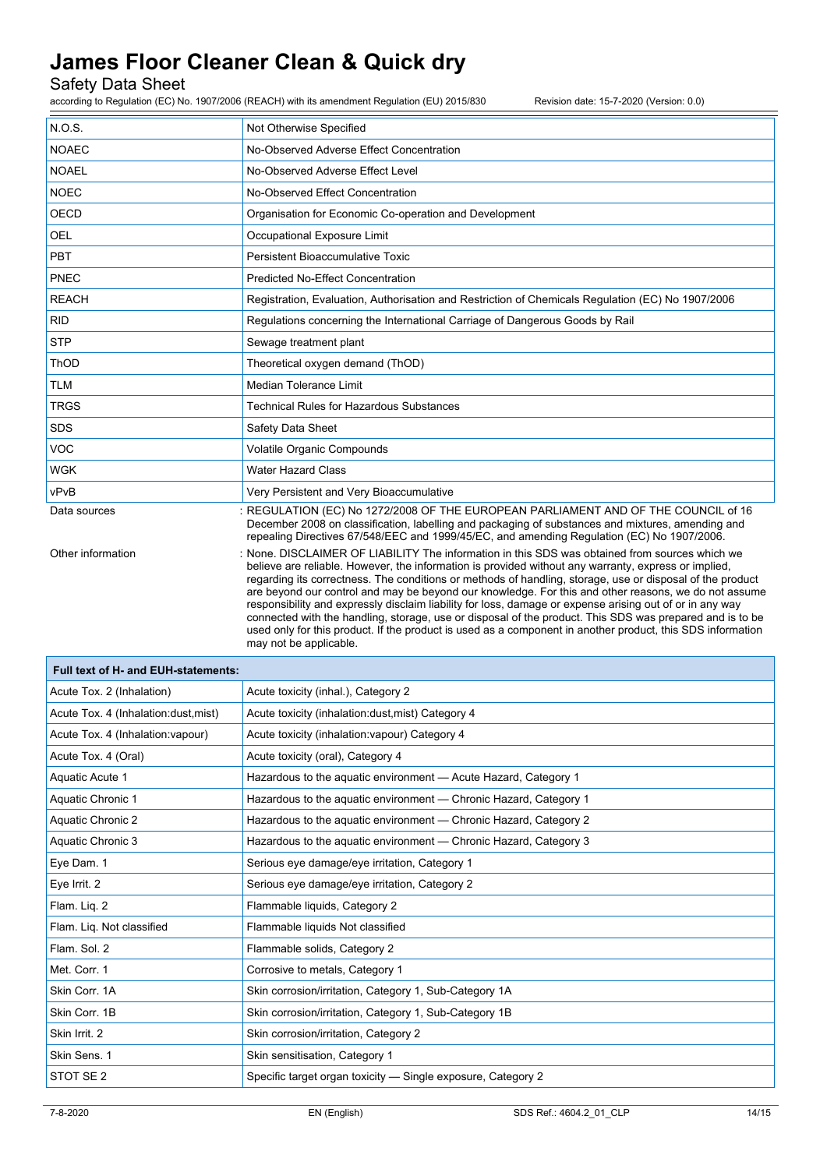Safety Data Sheet

according to Regulation (EC) No. 1907/2006 (REACH) with its amendment Regulation (EU) 2015/830 Revision date: 15-7-2020 (Version: 0.0)

| N.O.S.            | Not Otherwise Specified                                                                                                                                                                                                                                                                                                                                                                                                                                                                                                                                                                                                                                                                                                                                                                     |
|-------------------|---------------------------------------------------------------------------------------------------------------------------------------------------------------------------------------------------------------------------------------------------------------------------------------------------------------------------------------------------------------------------------------------------------------------------------------------------------------------------------------------------------------------------------------------------------------------------------------------------------------------------------------------------------------------------------------------------------------------------------------------------------------------------------------------|
| <b>NOAEC</b>      | No-Observed Adverse Effect Concentration                                                                                                                                                                                                                                                                                                                                                                                                                                                                                                                                                                                                                                                                                                                                                    |
| <b>NOAEL</b>      | No-Observed Adverse Effect Level                                                                                                                                                                                                                                                                                                                                                                                                                                                                                                                                                                                                                                                                                                                                                            |
| <b>NOEC</b>       | No-Observed Effect Concentration                                                                                                                                                                                                                                                                                                                                                                                                                                                                                                                                                                                                                                                                                                                                                            |
| <b>OECD</b>       | Organisation for Economic Co-operation and Development                                                                                                                                                                                                                                                                                                                                                                                                                                                                                                                                                                                                                                                                                                                                      |
| <b>OEL</b>        | Occupational Exposure Limit                                                                                                                                                                                                                                                                                                                                                                                                                                                                                                                                                                                                                                                                                                                                                                 |
| PBT               | Persistent Bioaccumulative Toxic                                                                                                                                                                                                                                                                                                                                                                                                                                                                                                                                                                                                                                                                                                                                                            |
| PNEC              | <b>Predicted No-Effect Concentration</b>                                                                                                                                                                                                                                                                                                                                                                                                                                                                                                                                                                                                                                                                                                                                                    |
| <b>REACH</b>      | Registration, Evaluation, Authorisation and Restriction of Chemicals Regulation (EC) No 1907/2006                                                                                                                                                                                                                                                                                                                                                                                                                                                                                                                                                                                                                                                                                           |
| <b>RID</b>        | Regulations concerning the International Carriage of Dangerous Goods by Rail                                                                                                                                                                                                                                                                                                                                                                                                                                                                                                                                                                                                                                                                                                                |
| <b>STP</b>        | Sewage treatment plant                                                                                                                                                                                                                                                                                                                                                                                                                                                                                                                                                                                                                                                                                                                                                                      |
| <b>ThOD</b>       | Theoretical oxygen demand (ThOD)                                                                                                                                                                                                                                                                                                                                                                                                                                                                                                                                                                                                                                                                                                                                                            |
| <b>TLM</b>        | Median Tolerance Limit                                                                                                                                                                                                                                                                                                                                                                                                                                                                                                                                                                                                                                                                                                                                                                      |
| <b>TRGS</b>       | <b>Technical Rules for Hazardous Substances</b>                                                                                                                                                                                                                                                                                                                                                                                                                                                                                                                                                                                                                                                                                                                                             |
| <b>SDS</b>        | Safety Data Sheet                                                                                                                                                                                                                                                                                                                                                                                                                                                                                                                                                                                                                                                                                                                                                                           |
| <b>VOC</b>        | Volatile Organic Compounds                                                                                                                                                                                                                                                                                                                                                                                                                                                                                                                                                                                                                                                                                                                                                                  |
| <b>WGK</b>        | <b>Water Hazard Class</b>                                                                                                                                                                                                                                                                                                                                                                                                                                                                                                                                                                                                                                                                                                                                                                   |
| vPvB              | Very Persistent and Very Bioaccumulative                                                                                                                                                                                                                                                                                                                                                                                                                                                                                                                                                                                                                                                                                                                                                    |
| Data sources      | : REGULATION (EC) No 1272/2008 OF THE EUROPEAN PARLIAMENT AND OF THE COUNCIL of 16<br>December 2008 on classification, labelling and packaging of substances and mixtures, amending and<br>repealing Directives 67/548/EEC and 1999/45/EC, and amending Regulation (EC) No 1907/2006.                                                                                                                                                                                                                                                                                                                                                                                                                                                                                                       |
| Other information | : None. DISCLAIMER OF LIABILITY The information in this SDS was obtained from sources which we<br>believe are reliable. However, the information is provided without any warranty, express or implied,<br>regarding its correctness. The conditions or methods of handling, storage, use or disposal of the product<br>are beyond our control and may be beyond our knowledge. For this and other reasons, we do not assume<br>responsibility and expressly disclaim liability for loss, damage or expense arising out of or in any way<br>connected with the handling, storage, use or disposal of the product. This SDS was prepared and is to be<br>used only for this product. If the product is used as a component in another product, this SDS information<br>may not be applicable. |

| <b>Full text of H- and EUH-statements:</b> |                                                                   |
|--------------------------------------------|-------------------------------------------------------------------|
| Acute Tox. 2 (Inhalation)                  | Acute toxicity (inhal.), Category 2                               |
| Acute Tox. 4 (Inhalation: dust, mist)      | Acute toxicity (inhalation: dust, mist) Category 4                |
| Acute Tox. 4 (Inhalation: vapour)          | Acute toxicity (inhalation: vapour) Category 4                    |
| Acute Tox. 4 (Oral)                        | Acute toxicity (oral), Category 4                                 |
| Aquatic Acute 1                            | Hazardous to the aquatic environment - Acute Hazard, Category 1   |
| Aquatic Chronic 1                          | Hazardous to the aquatic environment — Chronic Hazard, Category 1 |
| Aquatic Chronic 2                          | Hazardous to the aquatic environment — Chronic Hazard, Category 2 |
| Aquatic Chronic 3                          | Hazardous to the aquatic environment - Chronic Hazard, Category 3 |
| Eye Dam. 1                                 | Serious eye damage/eye irritation, Category 1                     |
| Eye Irrit. 2                               | Serious eye damage/eye irritation, Category 2                     |
| Flam. Lig. 2                               | Flammable liquids, Category 2                                     |
| Flam. Liq. Not classified                  | Flammable liquids Not classified                                  |
| Flam. Sol. 2                               | Flammable solids, Category 2                                      |
| Met. Corr. 1                               | Corrosive to metals, Category 1                                   |
| Skin Corr. 1A                              | Skin corrosion/irritation, Category 1, Sub-Category 1A            |
| Skin Corr. 1B                              | Skin corrosion/irritation, Category 1, Sub-Category 1B            |
| Skin Irrit. 2                              | Skin corrosion/irritation, Category 2                             |
| Skin Sens. 1                               | Skin sensitisation, Category 1                                    |
| STOT SE <sub>2</sub>                       | Specific target organ toxicity — Single exposure, Category 2      |